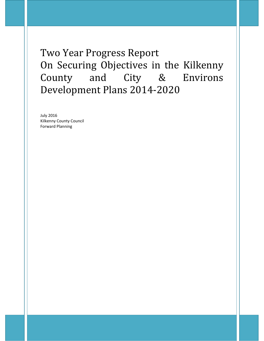Two Year Progress Report On Securing Objectives in the Kilkenny County and City & Environs Development Plans 2014-2020

July 2016 Kilkenny County Council Forward Planning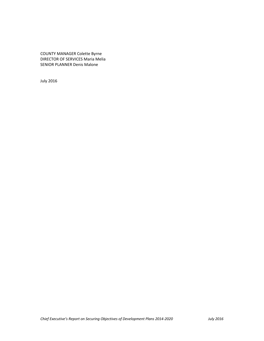COUNTY MANAGER Colette Byrne DIRECTOR OF SERVICES Maria Melia SENIOR PLANNER Denis Malone

July 2016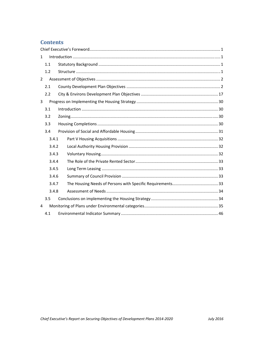# **Contents**

| 1              |       | $\label{eq:1} \mbox{Introduction} \,\, \ldots \,\, \ldots \,\, \ldots \,\, \ldots \,\, \ldots \,\, \ldots \,\, \ldots \,\, \ldots \,\, \ldots \,\, \ldots \,\, \ldots \,\, \ldots \,\, \ldots \,\, \ldots \,\, \ldots \,\, \ldots \,\, \ldots \,\, \ldots \,\, \ldots \,\, \ldots \,\, \ldots \,\, \ldots \,\, \ldots \,\, \ldots \,\, \ldots \,\, \ldots \,\, \ldots \,\, \ldots \,\, \ldots \,\, \ldots \,\, \ldots \,\, \ldots \,\, \ldots \,\, \ldots \,\,$ |  |  |  |
|----------------|-------|-----------------------------------------------------------------------------------------------------------------------------------------------------------------------------------------------------------------------------------------------------------------------------------------------------------------------------------------------------------------------------------------------------------------------------------------------------------------|--|--|--|
|                | 1.1   |                                                                                                                                                                                                                                                                                                                                                                                                                                                                 |  |  |  |
|                | 1.2   |                                                                                                                                                                                                                                                                                                                                                                                                                                                                 |  |  |  |
| $\overline{2}$ |       |                                                                                                                                                                                                                                                                                                                                                                                                                                                                 |  |  |  |
|                | 2.1   |                                                                                                                                                                                                                                                                                                                                                                                                                                                                 |  |  |  |
|                | 2.2   |                                                                                                                                                                                                                                                                                                                                                                                                                                                                 |  |  |  |
| 3              |       |                                                                                                                                                                                                                                                                                                                                                                                                                                                                 |  |  |  |
|                | 3.1   |                                                                                                                                                                                                                                                                                                                                                                                                                                                                 |  |  |  |
|                | 3.2   |                                                                                                                                                                                                                                                                                                                                                                                                                                                                 |  |  |  |
|                | 3.3   |                                                                                                                                                                                                                                                                                                                                                                                                                                                                 |  |  |  |
|                | 3.4   |                                                                                                                                                                                                                                                                                                                                                                                                                                                                 |  |  |  |
|                | 3.4.1 |                                                                                                                                                                                                                                                                                                                                                                                                                                                                 |  |  |  |
|                | 3.4.2 |                                                                                                                                                                                                                                                                                                                                                                                                                                                                 |  |  |  |
|                | 3.4.3 |                                                                                                                                                                                                                                                                                                                                                                                                                                                                 |  |  |  |
|                | 3.4.4 |                                                                                                                                                                                                                                                                                                                                                                                                                                                                 |  |  |  |
|                | 3.4.5 |                                                                                                                                                                                                                                                                                                                                                                                                                                                                 |  |  |  |
|                | 3.4.6 |                                                                                                                                                                                                                                                                                                                                                                                                                                                                 |  |  |  |
|                | 3.4.7 |                                                                                                                                                                                                                                                                                                                                                                                                                                                                 |  |  |  |
|                | 3.4.8 |                                                                                                                                                                                                                                                                                                                                                                                                                                                                 |  |  |  |
|                | 3.5   |                                                                                                                                                                                                                                                                                                                                                                                                                                                                 |  |  |  |
| 4              |       |                                                                                                                                                                                                                                                                                                                                                                                                                                                                 |  |  |  |
|                | 4.1   |                                                                                                                                                                                                                                                                                                                                                                                                                                                                 |  |  |  |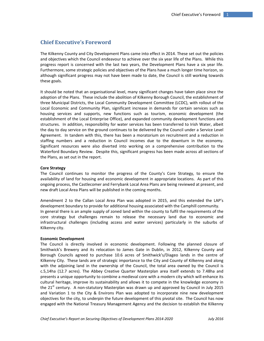# **Chief Executive's Foreword**

The Kilkenny County and City Development Plans came into effect in 2014. These set out the policies and objectives which the Council endeavour to achieve over the six year life of the Plans. While this progress report is concerned with the last two years, the Development Plans have a six year life. Furthermore, some strategic policies and objectives of the Plans have a much longer time horizon, so although significant progress may not have been made to date, the Council is still working towards these goals.

It should be noted that an organisational level, many significant changes have taken place since the adoption of the Plans. These include the abolition of Kilkenny Borough Council, the establishment of three Municipal Districts, the Local Community Development Committee (LCDC), with rollout of the Local Economic and Community Plan, significant increase in demands for certain services such as housing services and supports, new functions such as tourism, economic development (the establishment of the Local Enterprise Office), and expanded community development functions and structures. In addition, responsibility for water services has been transferred to Irish Water, albeit the day to day service on the ground continues to be delivered by the Council under a Service Level Agreement. In tandem with this, there has been a moratorium on recruitment and a reduction in staffing numbers and a reduction in Council incomes due to the downturn in the economy. Significant resources were also diverted into working on a comprehensive contribution to the Waterford Boundary Review. Despite this, significant progress has been made across all sections of the Plans, as set out in the report.

### **Core Strategy**

The Council continues to monitor the progress of the County's Core Strategy, to ensure the availability of land for housing and economic development in appropriate locations. As part of this ongoing process, the Castlecomer and Ferrybank Local Area Plans are being reviewed at present, and new draft Local Area Plans will be published in the coming months.

Amendment 2 to the Callan Local Area Plan was adopted in 2015, and this extended the LAP's development boundary to provide for additional housing associated with the Camphill community. In general there is an ample supply of zoned land within the county to fulfil the requirements of the core strategy but challenges remain to release the necessary land due to economic and infrastructural challenges (including access and water services) particularly in the suburbs of Kilkenny city.

## **Economic Development**

The Council is directly involved in economic development. Following the planned closure of Smithwick's Brewery and its relocation to James Gate in Dublin, in 2012, Kilkenny County and Borough Councils agreed to purchase 10.6 acres of Smithwick's/Diageo lands in the centre of Kilkenny City. These lands are of strategic importance to the City and County of Kilkenny and along with the adjoining land in the ownership of the Council, the total area owned by the Council is c.5,14ha (12.7 acres). The Abbey Creative Quarter Masterplan area itself extends to 7.48ha and presents a unique opportunity to combine a medieval core with a modern city which will enhance its cultural heritage, improve its sustainability and allows it to compete in the knowledge economy in the 21<sup>st</sup> century. A non-statutory Masterplan was drawn up and approved by Council in July 2015 and Variation 1 to the City & Environs Plan was adopted to incorporate nine new development objectives for the city, to underpin the future development of this pivotal site. The Council has now engaged with the National Treasury Management Agency and the decision to establish the Kilkenny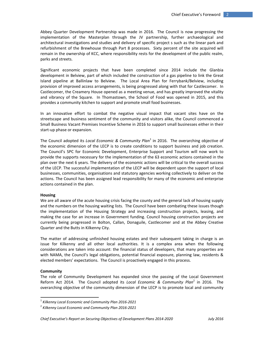Abbey Quarter Development Partnership was made in 2016. The Council is now progressing the implementation of the Masterplan through the JV partnership, further archaeological and architectural investigations and studies and delivery of specific project s such as the linear park and refurbishment of the Brewhouse through Part 8 processes. Sixty percent of the site acquired will remain in the ownership of KCC, where responsibility rests for the development of the public realm, parks and streets.

Significant economic projects that have been completed since 2014 include the Glanbia development in Belview, part of which included the construction of a gas pipeline to link the Great Island pipeline at Ballinlaw to Belview. The Local Area Plan for Ferrybank/Belview, including provision of improved access arrangements, is being progressed along with that for Castlecomer. In Castlecomer, the Creamery House opened as a meeting venue, and has greatly improved the vitality and vibrancy of the Square. In Thomastown, the School of Food was opened in 2015, and this provides a community kitchen to support and promote small food businesses.

In an innovative effort to combat the negative visual impact that vacant sites have on the streetscape and business sentiment of the community and visitors alike, the Council commenced a Small Business Vacant Premises Incentive Scheme in 2016 to support small businesses either in their start‐up phase or expansion.

The Council adopted its *Local Economic & Community Plan*<sup>1</sup> in 2016. The overarching objective of the economic dimension of the LECP is to create conditions to support business and job creation. The Council's SPC for Economic Development, Enterprise Support and Tourism will now work to provide the supports necessary for the implementation of the 63 economic actions contained in the plan over the next 6 years. The delivery of the economic actions will be critical to the overall success of the LECP. The successful implementation of the LECP will be dependent upon the support of local businesses, communities, organisations and statutory agencies working collectively to deliver on the actions. The Council has been assigned lead responsibility for many of the economic and enterprise actions contained in the plan.

#### **Housing**

We are all aware of the acute housing crisis facing the county and the general lack of housing supply and the numbers on the housing waiting lists. The Council have been combating these issues though the implementation of the Housing Strategy and increasing construction projects, leasing, and making the case for an increase in Government funding. Council housing construction projects are currently being progressed in Bolton, Callan, Donaguile, Castlecomer and at the Abbey Creative Quarter and the Butts in Kilkenny City.

The matter of addressing unfinished housing estates and their subsequent taking in charge is an issue for Kilkenny and all other local authorities. It is a complex area when the following considerations are taken into account: the financial status of developers, that many properties are with NAMA, the Council's legal obligations, potential financial exposure, planning law, residents & elected members' expectations. The Council is proactively engaged in this process.

#### **Community**

The role of Community Development has expanded since the passing of the Local Government Reform Act 2014. The Council adopted its *Local Economic & Community Plan*<sup>2</sup> in 2016. The overarching objective of the community dimension of the LECP is to promote local and community

<sup>1</sup> *Kilkenny Local Economic and Community Plan 2016‐2021*

<sup>2</sup> *Kilkenny Local Economic and Community Plan 2016‐2021*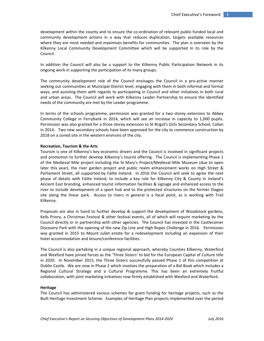development within the county and to ensure the co‐ordination of relevant public‐funded local and community development actions in a way that reduces duplication, targets available resources where they are most needed and maximises benefits for communities. The plan is overseen by the Kilkenny Local Community Development Committee which will be supported in its role by the Council.

In addition the Council will also be a support to the Kilkenny Public Participation Network in its ongoing work in supporting the participation of its many groups.

The community development role of the Council envisages the Council in a pro‐active manner seeking out communities at Municipal District level, engaging with them in both informal and formal ways, and assisting them with regards to participating in Council and other initiatives in both rural and urban areas. The Council will work with Kilkenny Leader Partnership to ensure the identified needs of the community are met by the Leader programme.

In terms of the schools programme, permission was granted for a two storey extension to Abbey Community College in Ferrybank in 2014, which will see an increase in capacity to 1,000 pupils. Permission was also granted for a three storey extension to St Brigid's Girls Secondary School, Callan in 2014. Two new secondary schools have been approved for the city to commence construction by 2018 on a zoned site in the western environs of the city.

#### **Recreation, Tourism & the Arts**

Tourism is one of Kilkenny's key economic drivers and the Council is involved in significant projects and promotion to further develop Kilkenny's tourist offering. The Council is implementing Phase 1 of the Medieval Mile project including the St Mary's Project/Medieval Mile Museum (due to open later this year), the river garden project and public realm enhancement works on High Street & Parliament Street, all supported by Fáilte Ireland. In 2016 the Council will seek to agree the next phase of details with Fáilte Ireland, to include a key role for Kilkenny City & County in Ireland's Ancient East branding, enhanced tourist information facilities & signage and enhanced access to the river to include development of a sport hub and to the protected structures on the former Diageo site along the linear park. Access to rivers in general is a focal point, as is working with Trail Kilkenny.

Proposals are also in hand to further develop & support the development of Woodstock gardens, Kells Priory, a Christmas Festival & other festival events, all of which will require marketing by the Council directly or in partnership with other agencies. The Council has invested in the Castlecomer Discovery Park with the opening of the new Zip Line and High Ropes Challenge in 2016. Permission was granted in 2015 to Mount Juliet estate for a redevelopment including an expansion of their hotel accommodation and leisure/conference facilities.

The Council is also partaking in a unique regional approach, whereby Counties Kilkenny, Waterford and Wexford have joined forces as the 'Three Sisters' to bid for the European Capital of Culture title in 2020. In November 2015, the Three Sisters successfully passed Phase 1 of this competition at Dublin Castle. We are now in Phase 2 which involves the preparation of a Bid Book which includes a Regional Cultural Strategy and a Cultural Programme. This has been an extremely fruitful collaboration, with joint marketing initiatives now firmly established with Wexford and Waterford.

#### **Heritage**

The Council has administered various schemes for grant funding for heritage projects, such as the Built Heritage Investment Scheme. Examples of Heritage Plan projects implemented over the period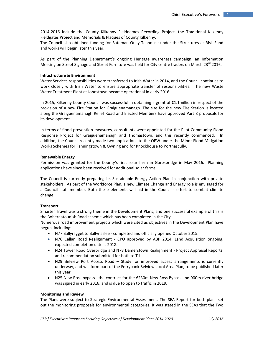2014‐2016 include the County Kilkenny Fieldnames Recording Project, the Traditional Kilkenny Fieldgates Project and Memorials & Plaques of County Kilkenny.

The Council also obtained funding for Bateman Quay Teahouse under the Structures at Risk Fund and works will begin later this year.

As part of the Planning Department's ongoing Heritage awareness campaign, an Information Meeting on Street Signage and Street Furniture was held for City centre traders on March 23 $^{\text{rd}}$  2016.

## **Infrastructure & Environment**

Water Services responsibilities were transferred to Irish Water in 2014, and the Council continues to work closely with Irish Water to ensure appropriate transfer of responsibilities. The new Waste Water Treatment Plant at Johnstown became operational in early 2016.

In 2015, Kilkenny County Council was successful in obtaining a grant of €1.1million in respect of the provision of a new Fire Station for Graiguenamanagh. The site for the new Fire Station is located along the Graiguenamanagh Relief Road and Elected Members have approved Part 8 proposals for its development.

In terms of flood prevention measures, consultants were appointed for the Pilot Community Flood Response Project for Graiguenamanagh and Thomastown, and this recently commenced. In addition, the Council recently made two applications to the OPW under the Minor Flood Mitigation Works Schemes for Fanningstown & Owning and for Knockhouse to Portnascully.

#### **Renewable Energy**

Permission was granted for the County's first solar farm in Goresbridge in May 2016. Planning applications have since been received for additional solar farms.

The Council is currently preparing its Sustainable Energy Action Plan in conjunction with private stakeholders. As part of the Workforce Plan, a new Climate Change and Energy role is envisaged for a Council staff member. Both these elements will aid in the Council's effort to combat climate change.

### **Transport**

Smarter Travel was a strong theme in the Development Plans, and one successful example of this is the Bohernatounish Road scheme which has been completed in the City.

Numerous road improvement projects which were cited as objectives in the Development Plan have begun, including:

- N77 Ballyragget to Ballynaslee completed and officially opened October 2015.
- N76 Callan Road Realignment CPO approved by ABP 2014, Land Acquisition ongoing, expected completion date is 2018.
- N24 Tower Road Overbridge and N78 Damerstown Realignment Project Appraisal Reports and recommendation submitted for both to TII.
- N29 Belview Port Access Road Study for improved access arrangements is currently underway, and will form part of the Ferrybank Belview Local Area Plan, to be published later this year.
- N25 New Ross bypass the contract for the  $\epsilon$ 230m New Ross Bypass and 900m river bridge was signed in early 2016, and is due to open to traffic in 2019.

#### **Monitoring and Review**

The Plans were subject to Strategic Environmental Assessment. The SEA Report for both plans set out the monitoring proposals for environmental categories. It was stated in the SEAs that the Two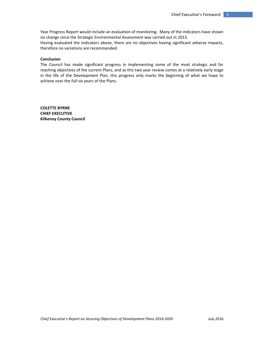Year Progress Report would include an evaluation of monitoring. Many of the indicators have shown no change since the Strategic Environmental Assessment was carried out in 2013.

Having evaluated the indicators above, there are no objectives having significant adverse impacts, therefore no variations are recommended.

## **Conclusion**

The Council has made significant progress in implementing some of the most strategic and far reaching objectives of the current Plans, and as this two year review comes at a relatively early stage in the life of the Development Plan, this progress only marks the beginning of what we hope to achieve over the full six years of the Plans.

**COLETTE BYRNE CHIEF EXECUTIVE Kilkenny County Council**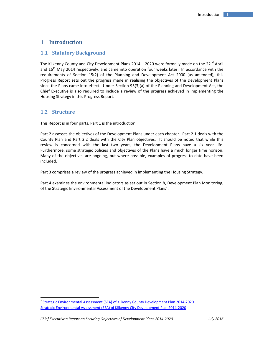# 1 **Introduction**

## **1.1 Statutory Background**

The Kilkenny County and City Development Plans  $2014 - 2020$  were formally made on the  $22^{nd}$  April and  $16<sup>th</sup>$  May 2014 respectively, and came into operation four weeks later. In accordance with the requirements of Section 15(2) of the Planning and Development Act 2000 (as amended), this Progress Report sets out the progress made in realising the objectives of the Development Plans since the Plans came into effect. Under Section 95(3)(a) of the Planning and Development Act, the Chief Executive is also required to include a review of the progress achieved in implementing the Housing Strategy in this Progress Report.

## **1.2 Structure**

This Report is in four parts. Part 1 is the introduction.

Part 2 assesses the objectives of the Development Plans under each chapter. Part 2.1 deals with the County Plan and Part 2.2 deals with the City Plan objectives. It should be noted that while this review is concerned with the last two years, the Development Plans have a six year life. Furthermore, some strategic policies and objectives of the Plans have a much longer time horizon. Many of the objectives are ongoing, but where possible, examples of progress to date have been included.

Part 3 comprises a review of the progress achieved in implementing the Housing Strategy.

Part 4 examines the environmental indicators as set out in Section 8, Development Plan Monitoring, of the Strategic Environmental Assessment of the Development Plans<sup>3</sup>.

<sup>&</sup>lt;sup>3</sup> Strategic Environmental Assessment (SEA) of Kilkenny County Development Plan 2014-2020 Strategic Environmental Assessment (SEA) of Kilkenny City Development Plan 2014‐2020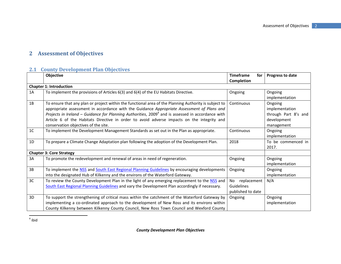# **2 Assessment of Objectives**

# **2.1 County Development Plan Objectives**

|                | Objective                                                                                                                                                                                                                                                                                                                                                                                                                                        | <b>Timeframe</b><br>for<br>Completion                | Progress to date                                                               |
|----------------|--------------------------------------------------------------------------------------------------------------------------------------------------------------------------------------------------------------------------------------------------------------------------------------------------------------------------------------------------------------------------------------------------------------------------------------------------|------------------------------------------------------|--------------------------------------------------------------------------------|
|                | <b>Chapter 1: Introduction</b>                                                                                                                                                                                                                                                                                                                                                                                                                   |                                                      |                                                                                |
| 1A             | To implement the provisions of Articles 6(3) and 6(4) of the EU Habitats Directive.                                                                                                                                                                                                                                                                                                                                                              | Ongoing                                              | Ongoing<br>implementation                                                      |
| 1B             | To ensure that any plan or project within the functional area of the Planning Authority is subject to<br>appropriate assessment in accordance with the Guidance Appropriate Assessment of Plans and<br>Projects in Ireland – Guidance for Planning Authorities, $20094$ and is assessed in accordance with<br>Article 6 of the Habitats Directive in order to avoid adverse impacts on the integrity and<br>conservation objectives of the site. | Continuous                                           | Ongoing<br>implementation<br>through Part 8's and<br>development<br>management |
| 1 <sup>C</sup> | To implement the Development Management Standards as set out in the Plan as appropriate.                                                                                                                                                                                                                                                                                                                                                         | Continuous                                           | Ongoing<br>implementation                                                      |
| 1D             | To prepare a Climate Change Adaptation plan following the adoption of the Development Plan.                                                                                                                                                                                                                                                                                                                                                      | 2018                                                 | To be commenced in<br>2017.                                                    |
|                | <b>Chapter 3: Core Strategy</b>                                                                                                                                                                                                                                                                                                                                                                                                                  |                                                      |                                                                                |
| 3A             | To promote the redevelopment and renewal of areas in need of regeneration.                                                                                                                                                                                                                                                                                                                                                                       | Ongoing                                              | Ongoing<br>implementation                                                      |
| 3B             | To implement the NSS and South East Regional Planning Guidelines by encouraging developments<br>into the designated Hub of Kilkenny and the environs of the Waterford Gateway.                                                                                                                                                                                                                                                                   | Ongoing                                              | Ongoing<br>implementation                                                      |
| 3C             | To review the County Development Plan in the light of any emerging replacement to the NSS and<br>South East Regional Planning Guidelines and vary the Development Plan accordingly if necessary.                                                                                                                                                                                                                                                 | replacement<br>No<br>Guidelines<br>published to date | N/A                                                                            |
| 3D             | To support the strengthening of critical mass within the catchment of the Waterford Gateway by<br>implementing a co-ordinated approach to the development of New Ross and its environs within<br>County Kilkenny between Kilkenny County Council, New Ross Town Council and Wexford County                                                                                                                                                       | Ongoing                                              | Ongoing<br>implementation                                                      |

 $^4$  ibid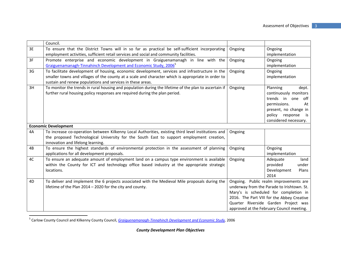|    | Council.                                                                                                                      |         |                                            |
|----|-------------------------------------------------------------------------------------------------------------------------------|---------|--------------------------------------------|
| 3E | To ensure that the District Towns will in so far as practical be self-sufficient incorporating                                | Ongoing | Ongoing                                    |
|    | employment activities, sufficient retail services and social and community facilities.                                        |         | implementation                             |
| 3F | Promote enterprise and economic development in Graiguenamanagh in line with the                                               | Ongoing | Ongoing                                    |
|    | Graiguenamanagh-Tinnahinch Development and Economic Study, 2006 <sup>5</sup>                                                  |         | implementation                             |
| 3G | To facilitate development of housing, economic development, services and infrastructure in the                                | Ongoing | Ongoing                                    |
|    | smaller towns and villages of the county at a scale and character which is appropriate in order to                            |         | implementation                             |
|    | sustain and renew populations and services in these areas.                                                                    |         |                                            |
| 3H | To monitor the trends in rural housing and population during the lifetime of the plan to ascertain if                         | Ongoing | Planning<br>dept.                          |
|    | further rural housing policy responses are required during the plan period.                                                   |         | continuously monitors                      |
|    |                                                                                                                               |         | trends in one<br>off                       |
|    |                                                                                                                               |         | permissions.<br>At                         |
|    |                                                                                                                               |         | present, no change in                      |
|    |                                                                                                                               |         | policy<br>response<br>is                   |
|    |                                                                                                                               |         | considered necessary.                      |
|    | <b>Economic Development</b>                                                                                                   |         |                                            |
| 4A | To increase co-operation between Kilkenny Local Authorities, existing third level institutions and                            | Ongoing |                                            |
|    | the proposed Technological University for the South East to support employment creation,<br>innovation and lifelong learning. |         |                                            |
| 4B | To ensure the highest standards of environmental protection in the assessment of planning                                     | Ongoing | Ongoing                                    |
|    | applications for all development proposals.                                                                                   |         | implementation                             |
| 4C | To ensure an adequate amount of employment land on a campus type environment is available                                     | Ongoing | Adequate<br>land                           |
|    | within the County for ICT and technology office based industry at the appropriate strategic                                   |         | provided<br>under                          |
|    | locations.                                                                                                                    |         | Development<br>Plans                       |
|    |                                                                                                                               |         | 2014                                       |
| 4D | To deliver and implement the 6 projects associated with the Medieval Mile proposals during the                                |         | Ongoing. Public realm improvements are     |
|    | lifetime of the Plan 2014 - 2020 for the city and county.                                                                     |         | underway from the Parade to Irishtown. St. |
|    |                                                                                                                               |         | Mary's is scheduled for completion in      |
|    |                                                                                                                               |         | 2016. The Part VIII for the Abbey Creative |
|    |                                                                                                                               |         | Quarter Riverside Garden Project was       |
|    |                                                                                                                               |         | approved at the February Council meeting.  |

<sup>5</sup> Carlow County Council and Kilkenny County Council, *Graiguenamanagh‐Tinnahinch Development and Economic Study,* 2006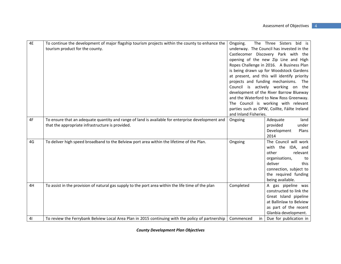| 4E             | To continue the development of major flagship tourism projects within the county to enhance the<br>tourism product for the county.                    | Ongoing.<br>and Inland Fisheries. | The Three Sisters bid is<br>underway. The Council has invested in the<br>Castlecomer Discovery Park with the<br>opening of the new Zip Line and High<br>Ropes Challenge in 2016. A Business Plan<br>is being drawn up for Woodstock Gardens<br>at present, and this will identify priority<br>projects and funding mechanisms.<br>The<br>Council is actively working on the<br>development of the River Barrow Blueway<br>and the Waterford to New Ross Greenway.<br>The Council is working with relevant<br>parties such as OPW, Coillte, Fáilte Ireland |
|----------------|-------------------------------------------------------------------------------------------------------------------------------------------------------|-----------------------------------|-----------------------------------------------------------------------------------------------------------------------------------------------------------------------------------------------------------------------------------------------------------------------------------------------------------------------------------------------------------------------------------------------------------------------------------------------------------------------------------------------------------------------------------------------------------|
| 4F             | To ensure that an adequate quantity and range of land is available for enterprise development and<br>that the appropriate infrastructure is provided. | Ongoing                           | Adequate<br>land<br>provided<br>under<br>Development<br>Plans<br>2014                                                                                                                                                                                                                                                                                                                                                                                                                                                                                     |
| 4G             | To deliver high speed broadband to the Belview port area within the lifetime of the Plan.                                                             | Ongoing                           | The Council will work<br>with the IDA,<br>and<br>other<br>relevant<br>organisations,<br>to<br>deliver<br>this<br>connection, subject to<br>the required funding<br>being available.                                                                                                                                                                                                                                                                                                                                                                       |
| 4H             | To assist in the provision of natural gas supply to the port area within the life time of the plan                                                    | Completed                         | A gas pipeline was<br>constructed to link the<br>Great Island pipeline<br>at Ballinlaw to Belview<br>as part of the recent<br>Glanbia development.                                                                                                                                                                                                                                                                                                                                                                                                        |
| 4 <sub>l</sub> | To review the Ferrybank Belview Local Area Plan in 2015 continuing with the policy of partnership                                                     | Commenced<br>in                   | Due for publication in                                                                                                                                                                                                                                                                                                                                                                                                                                                                                                                                    |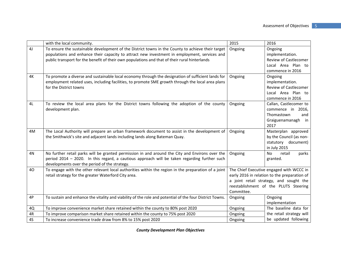|                | with the local community.                                                                               | 2015       | 2016                                         |
|----------------|---------------------------------------------------------------------------------------------------------|------------|----------------------------------------------|
| 4 <sub>J</sub> | To ensure the sustainable development of the District towns in the County to achieve their target       | Ongoing    | Ongoing                                      |
|                | populations and enhance their capacity to attract new investment in employment, services and            |            | implementation.                              |
|                | public transport for the benefit of their own populations and that of their rural hinterlands           |            | <b>Review of Castlecomer</b>                 |
|                |                                                                                                         |            | Local Area Plan to                           |
|                |                                                                                                         |            | commence in 2016                             |
| 4K             | To promote a diverse and sustainable local economy through the designation of sufficient lands for      | Ongoing    | Ongoing                                      |
|                | employment related uses, including facilities, to promote SME growth through the local area plans       |            | implementation.                              |
|                | for the District towns                                                                                  |            | Review of Castlecomer                        |
|                |                                                                                                         |            | Local Area Plan to                           |
|                |                                                                                                         |            | commence in 2016                             |
| 4L             | To review the local area plans for the District towns following the adoption of the county              | Ongoing    | Callan, Castlecomer to                       |
|                | development plan.                                                                                       |            | commence in 2016,                            |
|                |                                                                                                         |            | Thomastown<br>and                            |
|                |                                                                                                         |            | Graiguenamanagh in                           |
|                |                                                                                                         |            | 2017                                         |
| 4M             | The Local Authority will prepare an urban framework document to assist in the development of            | Ongoing    | Masterplan approved                          |
|                | the Smithwick's site and adjacent lands including lands along Bateman Quay.                             |            | by the Council (as non-                      |
|                |                                                                                                         |            | statutory document)                          |
|                |                                                                                                         |            | in July 2015                                 |
| 4N             | No further retail parks will be granted permission in and around the City and Environs over the         | Ongoing    | retail<br><b>No</b><br>parks                 |
|                | period 2014 - 2020. In this regard, a cautious approach will be taken regarding further such            |            | granted.                                     |
|                | developments over the period of the strategy.                                                           |            |                                              |
| 40             | To engage with the other relevant local authorities within the region in the preparation of a joint     |            | The Chief Executive engaged with WCCC in     |
|                | retail strategy for the greater Waterford City area.                                                    |            | early 2016 in relation to the preparation of |
|                |                                                                                                         |            | a joint retail strategy, and sought the      |
|                |                                                                                                         |            | reestablishment of the PLUTS Steering        |
|                |                                                                                                         | Committee. |                                              |
| 4P             | To sustain and enhance the vitality and viability of the role and potential of the four District Towns. | Ongoing    | Ongoing                                      |
|                |                                                                                                         |            | implementation                               |
| 4Q             | To improve convenience market share retained within the county to 80% post 2020                         | Ongoing    | The baseline data for                        |
| 4R             | To improve comparison market share retained within the county to 75% post 2020                          | Ongoing    | the retail strategy will                     |
| 4S             | To increase convenience trade draw from 8% to 15% post 2020                                             | Ongoing    | be updated following                         |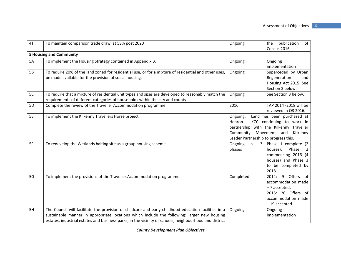| 4T             | To maintain comparison trade draw at 58% post 2020                                                                                                                                                                                                                                                            | Ongoing                                                                                                                                                                                                    | of <sub>1</sub><br>publication<br>the<br>Census 2016.                                                                                  |  |  |  |
|----------------|---------------------------------------------------------------------------------------------------------------------------------------------------------------------------------------------------------------------------------------------------------------------------------------------------------------|------------------------------------------------------------------------------------------------------------------------------------------------------------------------------------------------------------|----------------------------------------------------------------------------------------------------------------------------------------|--|--|--|
|                | <b>5 Housing and Community</b>                                                                                                                                                                                                                                                                                |                                                                                                                                                                                                            |                                                                                                                                        |  |  |  |
| 5A             | To implement the Housing Strategy contained in Appendix B.                                                                                                                                                                                                                                                    | Ongoing                                                                                                                                                                                                    | Ongoing<br>implementation                                                                                                              |  |  |  |
| 5B             | To require 20% of the land zoned for residential use, or for a mixture of residential and other uses,<br>be made available for the provision of social housing.                                                                                                                                               | Ongoing                                                                                                                                                                                                    | Superceded by Urban<br>Regeneration<br>and<br>Housing Act 2015. See<br>Section 3 below.                                                |  |  |  |
| 5C             | To require that a mixture of residential unit types and sizes are developed to reasonably match the<br>requirements of different categories of households within the city and county.                                                                                                                         | Ongoing                                                                                                                                                                                                    | See Section 3 below.                                                                                                                   |  |  |  |
| 5 <sub>D</sub> | Complete the review of the Traveller Accommodation programme.                                                                                                                                                                                                                                                 | 2016                                                                                                                                                                                                       | TAP 2014 -2018 will be<br>reviewed in Q3 2016.                                                                                         |  |  |  |
| <b>5E</b>      | To implement the Kilkenny Travellers Horse project                                                                                                                                                                                                                                                            | Land has been purchased at<br>Ongoing.<br>KCC continuing to work in<br>Hebron.<br>partnership with the Kilkenny Traveller<br>Community<br>Movement and<br>Kilkenny<br>Leader Partnership to progress this. |                                                                                                                                        |  |  |  |
| 5F             | To redevelop the Wetlands halting site as a group housing scheme.                                                                                                                                                                                                                                             | $\mathbf{3}$<br>Ongoing, in<br>phases                                                                                                                                                                      | Phase 1 complete (2<br>Phase<br>houses),<br>$\overline{2}$<br>commencing 2016 (4<br>houses) and Phase 3<br>to be completed by<br>2018. |  |  |  |
| 5G             | To implement the provisions of the Traveller Accommodation programme                                                                                                                                                                                                                                          | Completed                                                                                                                                                                                                  | 2014: 9 Offers of<br>accommodation made<br>-7 accepted.<br>2015: 20 Offers of<br>accommodation made<br>$-19$ accepted                  |  |  |  |
| 5H             | The Council will facilitate the provision of childcare and early childhood education facilities in a<br>sustainable manner in appropriate locations which include the following: larger new housing<br>estates, industrial estates and business parks, in the vicinity of schools, neighbourhood and district | Ongoing                                                                                                                                                                                                    | Ongoing<br>implementation                                                                                                              |  |  |  |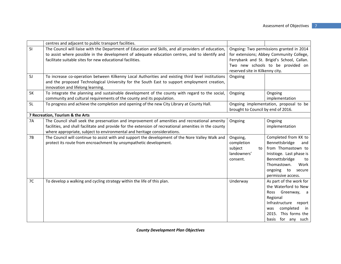|           | centres and adjacent to public transport facilities.                                                                                                                                                    |                                            |                                                                                      |
|-----------|---------------------------------------------------------------------------------------------------------------------------------------------------------------------------------------------------------|--------------------------------------------|--------------------------------------------------------------------------------------|
| 51        | The Council will liaise with the Department of Education and Skills, and all providers of education,<br>to assist where possible in the development of adequate education centres, and to identify and  |                                            | Ongoing: Two permissions granted in 2014<br>for extensions; Abbey Community College, |
|           | facilitate suitable sites for new educational facilities.                                                                                                                                               | Ferrybank and St. Brigid's School, Callan. |                                                                                      |
|           |                                                                                                                                                                                                         |                                            | Two new schools to be provided on                                                    |
|           |                                                                                                                                                                                                         | reserved site in Kilkenny city.            |                                                                                      |
| 5J        | To increase co-operation between Kilkenny Local Authorities and existing third level institutions                                                                                                       | Ongoing                                    |                                                                                      |
|           | and the proposed Technological University for the South East to support employment creation,<br>innovation and lifelong learning.                                                                       |                                            |                                                                                      |
| <b>5K</b> | To integrate the planning and sustainable development of the county with regard to the social,<br>community and cultural requirements of the county and its population.                                 | Ongoing                                    | Ongoing<br>implementation                                                            |
| 5L        | To progress and achieve the completion and opening of the new City Library at County Hall.                                                                                                              | brought to Council by end of 2016.         | Ongoing implementation, proposal to be                                               |
|           | 7 Recreation, Tourism & the Arts                                                                                                                                                                        |                                            |                                                                                      |
| <b>7A</b> | The Council shall seek the preservation and improvement of amenities and recreational amenity<br>facilities, and shall facilitate and provide for the extension of recreational amenities in the county | Ongoing                                    | Ongoing<br>implementation                                                            |
|           | where appropriate, subject to environmental and heritage considerations.                                                                                                                                |                                            |                                                                                      |
| <b>7B</b> | The Council will continue to assist with and support the development of the Nore Valley Walk and                                                                                                        | Ongoing,                                   | Completed from KK to                                                                 |
|           | protect its route from encroachment by unsympathetic development.                                                                                                                                       | completion                                 | Bennettsbridge<br>and                                                                |
|           |                                                                                                                                                                                                         | subject<br>to                              | from Thomastown to                                                                   |
|           |                                                                                                                                                                                                         | landowners'                                | Inistioge. Last phase is                                                             |
|           |                                                                                                                                                                                                         | consent.                                   | Bennettsbridge<br>to                                                                 |
|           |                                                                                                                                                                                                         |                                            | Work<br>Thomastown.                                                                  |
|           |                                                                                                                                                                                                         |                                            | ongoing to<br>secure<br>permissive access.                                           |
| 7C        | To develop a walking and cycling strategy within the life of this plan.                                                                                                                                 | Underway                                   | As part of the work for                                                              |
|           |                                                                                                                                                                                                         |                                            | the Waterford to New                                                                 |
|           |                                                                                                                                                                                                         |                                            | Greenway, a<br>Ross                                                                  |
|           |                                                                                                                                                                                                         |                                            | Regional                                                                             |
|           |                                                                                                                                                                                                         |                                            | Infrastructure report                                                                |
|           |                                                                                                                                                                                                         |                                            | completed<br>was<br>in                                                               |
|           |                                                                                                                                                                                                         |                                            | 2015. This forms the                                                                 |
|           |                                                                                                                                                                                                         |                                            | basis for any such                                                                   |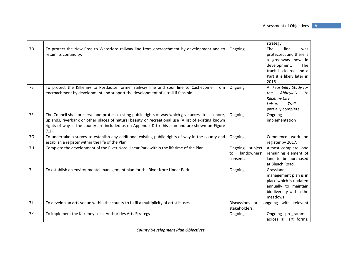|           |                                                                                                                                                                                                                                                                                                                         |                                                   | strategy.                                                                                                                                                        |
|-----------|-------------------------------------------------------------------------------------------------------------------------------------------------------------------------------------------------------------------------------------------------------------------------------------------------------------------------|---------------------------------------------------|------------------------------------------------------------------------------------------------------------------------------------------------------------------|
| 7D        | To protect the New Ross to Waterford railway line from encroachment by development and to<br>retain its continuity.                                                                                                                                                                                                     | Ongoing                                           | The<br>line<br>was<br>protected, and there is<br>a greenway now in<br>development.<br><b>The</b><br>track is cleared and a<br>Part 8 is likely later in<br>2016. |
| <b>7E</b> | To protect the Kilkenny to Portlaoise former railway line and spur line to Castlecomer from<br>encroachment by development and support the development of a trail if feasible.                                                                                                                                          | Ongoing                                           | A "Feasibility Study for<br>Abbeyleix<br>the<br>to<br>Kilkenny City<br>Trail"<br>Leisure<br>is<br>partially complete.                                            |
| 7F        | The Council shall preserve and protect existing public rights of way which give access to seashore,<br>uplands, riverbank or other places of natural beauty or recreational use (A list of existing known<br>rights of way in the county are included as on Appendix D to this plan and are shown on Figure<br>$7.1$ ). | Ongoing                                           | Ongoing<br>implementation                                                                                                                                        |
| 7G        | To undertake a survey to establish any additional existing public rights of way in the county and<br>establish a register within the life of the Plan.                                                                                                                                                                  | Ongoing                                           | Commence work on<br>register by 2017.                                                                                                                            |
| 7H        | Complete the development of the River Nore Linear Park within the lifetime of the Plan.                                                                                                                                                                                                                                 | Ongoing, subject<br>landowners'<br>to<br>consent. | Almost complete, one<br>remaining element of<br>land to be purchased<br>at Bleach Road.                                                                          |
| 71        | To establish an environmental management plan for the River Nore Linear Park.                                                                                                                                                                                                                                           | Ongoing                                           | Grassland<br>management plan is in<br>place which is updated<br>annually to maintain<br>biodiversity within the<br>meadows.                                      |
| 7J        | To develop an arts venue within the county to fulfil a multiplicity of artistic uses.                                                                                                                                                                                                                                   | stakeholders.                                     | Discussions are ongoing with relevant                                                                                                                            |
| <b>7K</b> | To implement the Kilkenny Local Authorities Arts Strategy                                                                                                                                                                                                                                                               | Ongoing                                           | Ongoing programmes<br>across all art forms,                                                                                                                      |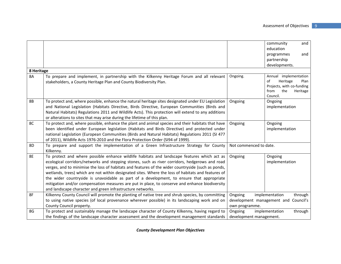|            |                                                                                                     |                            | community<br>and                  |
|------------|-----------------------------------------------------------------------------------------------------|----------------------------|-----------------------------------|
|            |                                                                                                     |                            | education                         |
|            |                                                                                                     |                            | programmes<br>and                 |
|            |                                                                                                     |                            | partnership                       |
|            |                                                                                                     |                            | developments.                     |
| 8 Heritage |                                                                                                     |                            |                                   |
| <b>8A</b>  | To prepare and implement, in partnership with the Kilkenny Heritage Forum and all relevant          | Ongoing.                   | Annual implementation             |
|            | stakeholders, a County Heritage Plan and County Biodiversity Plan.                                  |                            | of<br>Heritage<br>Plan            |
|            |                                                                                                     |                            | Projects, with co-funding<br>from |
|            |                                                                                                     |                            | the<br>Heritage<br>Council.       |
| <b>8B</b>  | To protect and, where possible, enhance the natural heritage sites designated under EU Legislation  | Ongoing                    | Ongoing                           |
|            | and National Legislation (Habitats Directive, Birds Directive, European Communities (Birds and      |                            | implementation                    |
|            | Natural Habitats) Regulations 2011 and Wildlife Acts). This protection will extend to any additions |                            |                                   |
|            | or alterations to sites that may arise during the lifetime of this plan.                            |                            |                                   |
| 8C         | To protect and, where possible, enhance the plant and animal species and their habitats that have   | Ongoing                    | Ongoing                           |
|            | been identified under European legislation (Habitats and Birds Directive) and protected under       |                            | implementation                    |
|            | national Legislation (European Communities (Birds and Natural Habitats) Regulations 2011 (SI 477    |                            |                                   |
|            | of 2011), Wildlife Acts 1976-2010 and the Flora Protection Order (SI94 of 1999).                    |                            |                                   |
| 8D         | To prepare and support the implementation of a Green Infrastructure Strategy for County             | Not commenced to date.     |                                   |
|            | Kilkenny.                                                                                           |                            |                                   |
| <b>8E</b>  | To protect and where possible enhance wildlife habitats and landscape features which act as         | Ongoing                    | Ongoing                           |
|            | ecological corridors/networks and stepping stones, such as river corridors, hedgerows and road      |                            | implementation                    |
|            | verges, and to minimise the loss of habitats and features of the wider countryside (such as ponds,  |                            |                                   |
|            | wetlands, trees) which are not within designated sites. Where the loss of habitats and features of  |                            |                                   |
|            | the wider countryside is unavoidable as part of a development, to ensure that appropriate           |                            |                                   |
|            | mitigation and/or compensation measures are put in place, to conserve and enhance biodiversity      |                            |                                   |
|            | and landscape character and green infrastructure networks.                                          |                            |                                   |
| 8F         | Kilkenny County Council will promote the planting of native tree and shrub species, by committing   | Ongoing                    | through<br>implementation         |
|            | to using native species (of local provenance wherever possible) in its landscaping work and on      | development management and | Council's                         |
|            | County Council property.                                                                            | own programme.             |                                   |
| 8G         | To protect and sustainably manage the landscape character of County Kilkenny, having regard to      | Ongoing                    | implementation<br>through         |
|            | the findings of the landscape character assessment and the development management standards         | development management.    |                                   |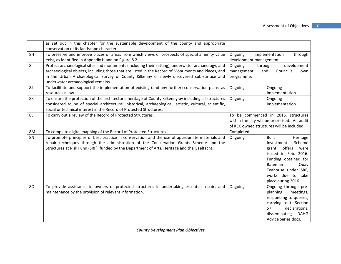|           | as set out in this chapter for the sustainable development of the county and appropriate               |                                           |                                               |
|-----------|--------------------------------------------------------------------------------------------------------|-------------------------------------------|-----------------------------------------------|
|           | conservation of its landscape character.                                                               |                                           |                                               |
| 8H        | To preserve and improve places or areas from which views or prospects of special amenity value         | Ongoing                                   | implementation<br>through                     |
|           | exist, as identified in Appendix H and on Figure 8.2.                                                  | development management.                   |                                               |
| 81        | Protect archaeological sites and monuments (including their setting), underwater archaeology, and      | Ongoing<br>through                        | development                                   |
|           | archaeological objects, including those that are listed in the Record of Monuments and Places, and     | management                                | Council's<br>and<br>own                       |
|           | in the Urban Archaeological Survey of County Kilkenny or newly discovered sub-surface and              | programme.                                |                                               |
|           | underwater archaeological remains.                                                                     |                                           |                                               |
| 8J        | To facilitate and support the implementation of existing (and any further) conservation plans, as      | Ongoing                                   | Ongoing                                       |
|           | resources allow.                                                                                       |                                           | implementation                                |
| <b>8K</b> | To ensure the protection of the architectural heritage of County Kilkenny by including all structures  | Ongoing                                   | Ongoing                                       |
|           | considered to be of special architectural, historical, archaeological, artistic, cultural, scientific, |                                           | implementation                                |
|           | social or technical interest in the Record of Protected Structures.                                    |                                           |                                               |
| 8L        | To carry out a review of the Record of Protected Structures.                                           | To be commenced in 2016, structures       |                                               |
|           |                                                                                                        |                                           | within the city will be prioritised. An audit |
|           |                                                                                                        | of KCC owned structures will be included. |                                               |
| 8M        | To complete digital mapping of the Record of Protected Structures.                                     | Completed                                 |                                               |
| <b>8N</b> | To promote principles of best practice in conservation and the use of appropriate materials and        | Ongoing                                   | <b>Built</b><br>Heritage                      |
|           | repair techniques through the administration of the Conservation Grants Scheme and the                 |                                           | Scheme<br>Investment                          |
|           | Structures at Risk Fund (SRF), funded by the Department of Arts, Heritage and the Gaeltacht.           |                                           | offers<br>grant<br>were                       |
|           |                                                                                                        |                                           | issued in Feb. 2016.                          |
|           |                                                                                                        |                                           | Funding obtained for                          |
|           |                                                                                                        |                                           | Bateman<br>Quay                               |
|           |                                                                                                        |                                           | Teahouse under SRF,                           |
|           |                                                                                                        |                                           | works due to take                             |
|           |                                                                                                        |                                           | place during 2016.                            |
| 80        | To provide assistance to owners of protected structures in undertaking essential repairs and           | Ongoing                                   | Ongoing through pre-                          |
|           | maintenance by the provision of relevant information.                                                  |                                           | planning<br>meetings,                         |
|           |                                                                                                        |                                           | responding to queries,                        |
|           |                                                                                                        |                                           | carrying out Section                          |
|           |                                                                                                        |                                           | 57<br>declarations,                           |
|           |                                                                                                        |                                           | disseminating<br><b>DAHG</b>                  |
|           |                                                                                                        |                                           | Advice Series docs.                           |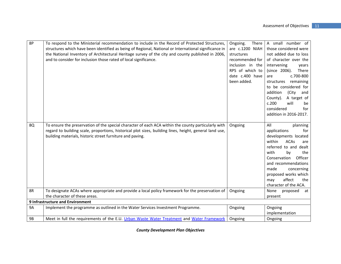| <b>8P</b> | To respond to the Ministerial recommendation to include in the Record of Protected Structures,<br>structures which have been identified as being of Regional, National or International significance in<br>the National Inventory of Architectural Heritage survey of the city and county published in 2006,<br>and to consider for inclusion those rated of local significance. | There<br>Ongoing.<br>are c.1200 NIAH<br>structures<br>recommended for<br>inclusion in the<br>RPS of which to<br>date c.400 have<br>been added. | A small number of<br>those considered were<br>not added due to loss<br>of character over the<br>intervening<br>years<br>There<br>(since 2006).<br>c.700-800<br>are<br>remaining<br>structures<br>to be considered for<br>addition<br>(City<br>and<br>County).<br>A target of<br>c.200<br>will<br>be<br>considered<br>for<br>addition in 2016-2017. |
|-----------|----------------------------------------------------------------------------------------------------------------------------------------------------------------------------------------------------------------------------------------------------------------------------------------------------------------------------------------------------------------------------------|------------------------------------------------------------------------------------------------------------------------------------------------|----------------------------------------------------------------------------------------------------------------------------------------------------------------------------------------------------------------------------------------------------------------------------------------------------------------------------------------------------|
| 8Q        | To ensure the preservation of the special character of each ACA within the county particularly with<br>regard to building scale, proportions, historical plot sizes, building lines, height, general land use,<br>building materials, historic street furniture and paving.                                                                                                      | Ongoing                                                                                                                                        | All<br>planning<br>applications<br>for<br>developments located<br><b>ACAs</b><br>within<br>are<br>referred to and dealt<br>with<br>the<br>by<br>Conservation<br>Officer<br>and recommendations<br>made<br>concerning<br>proposed works which<br>affect<br>the<br>may<br>character of the ACA.                                                      |
| 8R        | To designate ACAs where appropriate and provide a local policy framework for the preservation of                                                                                                                                                                                                                                                                                 | Ongoing                                                                                                                                        | None<br>proposed<br>at                                                                                                                                                                                                                                                                                                                             |
|           | the character of these areas.                                                                                                                                                                                                                                                                                                                                                    |                                                                                                                                                | present                                                                                                                                                                                                                                                                                                                                            |
|           | <b>9 Infrastructure and Environment</b>                                                                                                                                                                                                                                                                                                                                          |                                                                                                                                                |                                                                                                                                                                                                                                                                                                                                                    |
| <b>9A</b> | Implement the programme as outlined in the Water Services Investment Programme.                                                                                                                                                                                                                                                                                                  | Ongoing                                                                                                                                        | Ongoing<br>implementation                                                                                                                                                                                                                                                                                                                          |
| <b>9B</b> | Meet in full the requirements of the E.U. Urban Waste Water Treatment and Water Framework                                                                                                                                                                                                                                                                                        | Ongoing                                                                                                                                        | Ongoing                                                                                                                                                                                                                                                                                                                                            |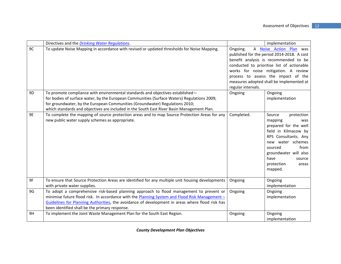|           | Directives and the <i>Drinking Water Regulations</i> .                                                                                                                                                                                                                                                                                                      |                                                                                                                                                                                                                                                                                                                                  | implementation                                                                                                                                                                                                                       |
|-----------|-------------------------------------------------------------------------------------------------------------------------------------------------------------------------------------------------------------------------------------------------------------------------------------------------------------------------------------------------------------|----------------------------------------------------------------------------------------------------------------------------------------------------------------------------------------------------------------------------------------------------------------------------------------------------------------------------------|--------------------------------------------------------------------------------------------------------------------------------------------------------------------------------------------------------------------------------------|
| 9C        | To update Noise Mapping in accordance with revised or updated thresholds for Noise Mapping.                                                                                                                                                                                                                                                                 | A <b>Noise Action Plan</b> was<br>Ongoing.<br>published for the period 2014-2018. A cost<br>benefit analysis is recommended to be<br>conducted to prioritise list of actionable<br>works for noise mitigation. A review<br>process to assess the impact of the<br>measures adopted shall be implemented at<br>regular intervals. |                                                                                                                                                                                                                                      |
| 9D        | To promote compliance with environmental standards and objectives established-<br>for bodies of surface water, by the European Communities (Surface Waters) Regulations 2009;<br>for groundwater, by the European Communities (Groundwater) Regulations 2010;<br>which standards and objectives are included in the South East River Basin Management Plan. | Ongoing                                                                                                                                                                                                                                                                                                                          | Ongoing<br>implementation                                                                                                                                                                                                            |
| <b>9E</b> | To complete the mapping of source protection areas and to map Source Protection Areas for any<br>new public water supply schemes as appropriate.                                                                                                                                                                                                            | Completed.                                                                                                                                                                                                                                                                                                                       | Source<br>protection<br>mapping<br>was<br>prepared for the well<br>field in Kilmacow by<br>RPS Consultants. Any<br>new water schemes<br>sourced<br>from<br>groundwater will also<br>have<br>source<br>protection<br>areas<br>mapped. |
| 9F        | To ensure that Source Protection Areas are identified for any multiple unit housing developments<br>with private water supplies.                                                                                                                                                                                                                            | Ongoing                                                                                                                                                                                                                                                                                                                          | Ongoing<br>implementation                                                                                                                                                                                                            |
| 9G        | To adopt a comprehensive risk-based planning approach to flood management to prevent or<br>minimise future flood risk. In accordance with the Planning System and Flood Risk Management -<br>Guidelines for Planning Authorities, the avoidance of development in areas where flood risk has<br>been identified shall be the primary response.              | Ongoing                                                                                                                                                                                                                                                                                                                          | Ongoing<br>implementation                                                                                                                                                                                                            |
| 9H        | To implement the Joint Waste Management Plan for the South East Region.                                                                                                                                                                                                                                                                                     | Ongoing                                                                                                                                                                                                                                                                                                                          | Ongoing<br>implementation                                                                                                                                                                                                            |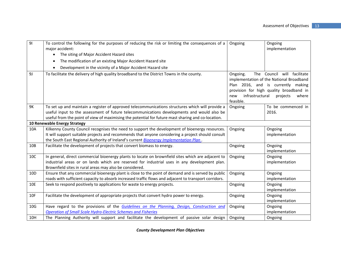| 91              | To control the following for the purposes of reducing the risk or limiting the consequences of a<br>major accident:<br>The siting of Major Accident Hazard sites<br>$\bullet$ | Ongoing                                         | Ongoing<br>implementation                                                                                                                                                     |
|-----------------|-------------------------------------------------------------------------------------------------------------------------------------------------------------------------------|-------------------------------------------------|-------------------------------------------------------------------------------------------------------------------------------------------------------------------------------|
|                 | The modification of an existing Major Accident Hazard site<br>$\bullet$                                                                                                       |                                                 |                                                                                                                                                                               |
|                 | Development in the vicinity of a Major Accident Hazard site                                                                                                                   |                                                 |                                                                                                                                                                               |
| 9J              | To facilitate the delivery of high quality broadband to the District Towns in the county.                                                                                     | Ongoing.<br>infrastructural<br>new<br>feasible. | The Council will facilitate<br>implementation of the National Broadband<br>Plan 2016, and is currently making<br>provision for high quality broadband in<br>where<br>projects |
| 9K              | To set up and maintain a register of approved telecommunications structures which will provide a                                                                              | Ongoing                                         | To be commenced in                                                                                                                                                            |
|                 | useful input to the assessment of future telecommunications developments and would also be                                                                                    |                                                 | 2016.                                                                                                                                                                         |
|                 | useful from the point of view of maximising the potential for future mast sharing and co-location.                                                                            |                                                 |                                                                                                                                                                               |
|                 | 10 Renewable Energy Strategy                                                                                                                                                  |                                                 |                                                                                                                                                                               |
| 10A             | Kilkenny County Council recognises the need to support the development of bioenergy resources.                                                                                | Ongoing                                         | Ongoing                                                                                                                                                                       |
|                 | It will support suitable projects and recommends that anyone considering a project should consult                                                                             |                                                 | implementation                                                                                                                                                                |
|                 | the South East Regional Authority of Ireland's current Bioenergy Implementation Plan.                                                                                         |                                                 |                                                                                                                                                                               |
| 10B             | Facilitate the development of projects that convert biomass to energy.                                                                                                        | Ongoing                                         | Ongoing<br>implementation                                                                                                                                                     |
| 10C             | In general, direct commercial bioenergy plants to locate on brownfield sites which are adjacent to                                                                            | Ongoing                                         | Ongoing                                                                                                                                                                       |
|                 | industrial areas or on lands which are reserved for industrial uses in any development plan.                                                                                  |                                                 | implementation                                                                                                                                                                |
|                 | Brownfield sites in rural areas may also be considered.                                                                                                                       |                                                 |                                                                                                                                                                               |
| 10 <sub>D</sub> | Ensure that any commercial bioenergy plant is close to the point of demand and is served by public                                                                            | Ongoing                                         | Ongoing                                                                                                                                                                       |
|                 | roads with sufficient capacity to absorb increased traffic flows and adjacent to transport corridors.                                                                         |                                                 | implementation                                                                                                                                                                |
| 10E             | Seek to respond positively to applications for waste to energy projects.                                                                                                      | Ongoing                                         | Ongoing                                                                                                                                                                       |
|                 |                                                                                                                                                                               |                                                 | implementation                                                                                                                                                                |
| 10F             | Facilitate the development of appropriate projects that convert hydro power to energy.                                                                                        | Ongoing                                         | Ongoing                                                                                                                                                                       |
|                 |                                                                                                                                                                               |                                                 | implementation                                                                                                                                                                |
| 10 <sub>G</sub> | Have regard to the provisions of the <b>Guidelines on the Planning</b> , Design, Construction and                                                                             | Ongoing                                         | Ongoing                                                                                                                                                                       |
|                 | <b>Operation of Small Scale Hydro-Electric Schemes and Fisheries</b>                                                                                                          |                                                 | implementation                                                                                                                                                                |
| 10H             | The Planning Authority will support and facilitate the development of passive solar design                                                                                    | Ongoing                                         | Ongoing                                                                                                                                                                       |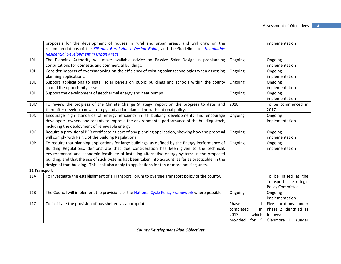|              | proposals for the development of houses in rural and urban areas, and will draw on the<br>recommendations of the Kilkenny Rural House Design Guide, and the Guidelines on Sustainable                                                                                                                                                                                                                                                                                                                        |                                                                                             | implementation                                                                    |
|--------------|--------------------------------------------------------------------------------------------------------------------------------------------------------------------------------------------------------------------------------------------------------------------------------------------------------------------------------------------------------------------------------------------------------------------------------------------------------------------------------------------------------------|---------------------------------------------------------------------------------------------|-----------------------------------------------------------------------------------|
|              | <b>Residential Development in Urban Areas.</b>                                                                                                                                                                                                                                                                                                                                                                                                                                                               |                                                                                             |                                                                                   |
| 101          | The Planning Authority will make available advice on Passive Solar Design in preplanning<br>consultations for domestic and commercial buildings.                                                                                                                                                                                                                                                                                                                                                             | Ongoing                                                                                     | Ongoing<br>implementation                                                         |
| 10J          | Consider impacts of overshadowing on the efficiency of existing solar technologies when assessing<br>planning applications.                                                                                                                                                                                                                                                                                                                                                                                  | Ongoing                                                                                     | Ongoing<br>implementation                                                         |
| 10K          | Support applications to install solar panels on public buildings and schools within the county<br>should the opportunity arise.                                                                                                                                                                                                                                                                                                                                                                              | Ongoing                                                                                     | Ongoing<br>implementation                                                         |
| 10L          | Support the development of geothermal energy and heat pumps                                                                                                                                                                                                                                                                                                                                                                                                                                                  | Ongoing                                                                                     | Ongoing<br>implementation                                                         |
| 10M          | To review the progress of the Climate Change Strategy, report on the progress to date, and<br>thereafter develop a new strategy and action plan in line with national policy.                                                                                                                                                                                                                                                                                                                                | 2018                                                                                        | To be commenced in<br>2017.                                                       |
| <b>10N</b>   | Encourage high standards of energy efficiency in all building developments and encourage<br>developers, owners and tenants to improve the environmental performance of the building stock,<br>including the deployment of renewable energy.                                                                                                                                                                                                                                                                  | Ongoing                                                                                     | Ongoing<br>implementation                                                         |
| 100          | Require a provisional BER certificate as part of any planning application, showing how the proposal<br>will comply with Part L of the Building Regulations                                                                                                                                                                                                                                                                                                                                                   | Ongoing                                                                                     | Ongoing<br>implementation                                                         |
| 10P          | To require that planning applications for large buildings, as defined by the Energy Performance of<br>Building Regulations, demonstrate that due consideration has been given to the technical,<br>environmental and economic feasibility of installing alternative energy systems in the proposed<br>building, and that the use of such systems has been taken into account, as far as practicable, in the<br>design of that building. This shall also apply to applications for ten or more housing units. | Ongoing                                                                                     | Ongoing<br>implementation                                                         |
| 11 Transport |                                                                                                                                                                                                                                                                                                                                                                                                                                                                                                              |                                                                                             |                                                                                   |
| 11A          | To investigate the establishment of a Transport Forum to oversee Transport policy of the county.                                                                                                                                                                                                                                                                                                                                                                                                             |                                                                                             | To be raised at the<br>Transport<br>Strategic<br>Policy Committee.                |
| 11B          | The Council will implement the provisions of the National Cycle Policy Framework where possible.                                                                                                                                                                                                                                                                                                                                                                                                             | Ongoing                                                                                     | Ongoing<br>implementation                                                         |
| 11C          | To facilitate the provision of bus shelters as appropriate.                                                                                                                                                                                                                                                                                                                                                                                                                                                  | Phase<br>$\mathbf{1}$<br>completed<br><sub>in</sub><br>2013<br>which<br>provided<br>for $5$ | Five locations under<br>Phase 2 identified as<br>follows:<br>Glenmore Hill (under |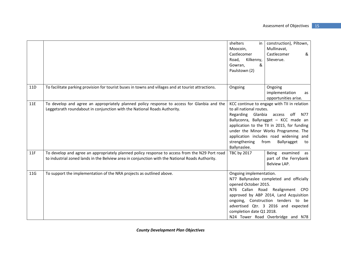|     |                                                                                                                                                                                                   | shelters<br>in <sub>1</sub><br>Moocoin,<br>Castlecomer                                                                                                                                                                                                                                                                                                         | construction), Piltown,<br>Mullinavat,<br>Castlecomer<br>& |
|-----|---------------------------------------------------------------------------------------------------------------------------------------------------------------------------------------------------|----------------------------------------------------------------------------------------------------------------------------------------------------------------------------------------------------------------------------------------------------------------------------------------------------------------------------------------------------------------|------------------------------------------------------------|
|     |                                                                                                                                                                                                   | Road,<br>Kilkenny,<br>Gowran,<br>&<br>Paulstown (2)                                                                                                                                                                                                                                                                                                            | Slieverue.                                                 |
| 11D | To facilitate parking provision for tourist buses in towns and villages and at tourist attractions.                                                                                               | Ongoing                                                                                                                                                                                                                                                                                                                                                        | Ongoing<br>implementation<br>as<br>opportunities arise.    |
| 11E | To develop and agree an appropriately planned policy response to access for Glanbia and the<br>Leggetsrath roundabout in conjunction with the National Roads Authority.                           | KCC continue to engage with TII in relation<br>to all national routes.<br>Glanbia<br>off<br>Regarding<br>access<br>N77<br>Ballyconra, Ballyragget - KCC made an<br>application to the TII in 2015, for funding<br>under the Minor Works Programme. The<br>application includes road widening and<br>strengthening<br>Ballyragget<br>from<br>to<br>Ballynaslee. |                                                            |
| 11F | To develop and agree an appropriately planned policy response to access from the N29 Port road<br>to industrial zoned lands in the Belview area in conjunction with the National Roads Authority. | TBC by 2017                                                                                                                                                                                                                                                                                                                                                    | Being examined as<br>part of the Ferrybank<br>Belview LAP. |
| 11G | To support the implementation of the NRA projects as outlined above.                                                                                                                              | Ongoing implementation.<br>N77 Ballynaslee completed and officially<br>opened October 2015.<br>N76 Callan Road<br>Realignment<br><b>CPO</b><br>approved by ABP 2014, Land Acquisition<br>ongoing, Construction tenders to be<br>advertised Qtr. 3 2016 and expected<br>completion date Q1 2018.<br>N24 Tower Road Overbridge and N78                           |                                                            |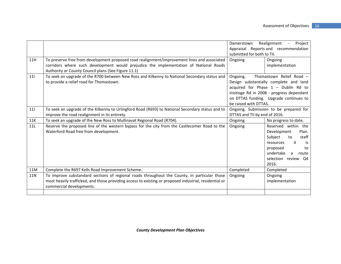|     |                                                                                                                                              | Realignment -<br>Project<br>Damerstown |                                           |
|-----|----------------------------------------------------------------------------------------------------------------------------------------------|----------------------------------------|-------------------------------------------|
|     |                                                                                                                                              | submitted for both to TII.             | Appraisal Reports and recommendation      |
| 11H |                                                                                                                                              |                                        |                                           |
|     | To preserve free from development proposed road realignment/improvement lines and associated                                                 | Ongoing                                | Ongoing                                   |
|     | corridors where such development would prejudice the implementation of National Roads<br>Authority or County Council plans (See Figure 11.1) |                                        | implementation                            |
| 111 | To seek an upgrade of the R700 between New Ross and Kilkenny to National Secondary status and                                                | Ongoing.                               | Thomastown Relief Road -                  |
|     | to provide a relief road for Thomastown.                                                                                                     |                                        | Design substantially complete and land    |
|     |                                                                                                                                              |                                        | acquired for Phase $1$ - Dublin Rd to     |
|     |                                                                                                                                              |                                        | Inistioge Rd in 2008 - progress dependant |
|     |                                                                                                                                              |                                        | on DTTAS funding. Upgrade continues to    |
|     |                                                                                                                                              | be raised with DTTAS.                  |                                           |
| 11J | To seek an upgrade of the Kilkenny to Urlingford Road (R693) to National Secondary status and to                                             | Ongoing. Submission to be prepared for |                                           |
|     | improve the road realignment in its entirety.                                                                                                | DTTAS and TII by end of 2016.          |                                           |
| 11K | To seek an upgrade of the New Ross to Mullinavat Regional Road (R704).                                                                       | Ongoing                                | No progress to date.                      |
| 11L | Reserve the proposed line of the western bypass for the city from the Castlecomer Road to the                                                | Ongoing                                | Reserved within the                       |
|     | Waterford Road free from development.                                                                                                        |                                        | Development<br>Plan.                      |
|     |                                                                                                                                              |                                        | staff<br>Subject<br>to                    |
|     |                                                                                                                                              |                                        | it<br>resources<br>is                     |
|     |                                                                                                                                              |                                        | proposed<br>to                            |
|     |                                                                                                                                              |                                        | undertake<br>route<br>a                   |
|     |                                                                                                                                              |                                        | selection review Q4                       |
|     |                                                                                                                                              |                                        | 2016.                                     |
| 11M | Complete the R697 Kells Road Improvement Scheme.                                                                                             | Completed                              | Completed                                 |
| 11N | To improve substandard sections of regional roads throughout the County, in particular those                                                 | Ongoing                                | Ongoing                                   |
|     | most heavily trafficked, and those providing access to existing or proposed industrial, residential or                                       |                                        | implementation                            |
|     | commercial developments.                                                                                                                     |                                        |                                           |
|     |                                                                                                                                              |                                        |                                           |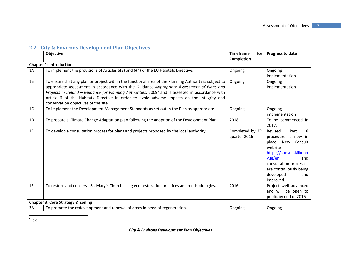|                | Objective                                                                                                                                                                                                                                                                                                                                                                                                                                         | <b>Timeframe</b><br>for<br><b>Completion</b> | Progress to date                                                                                                                                                                                               |
|----------------|---------------------------------------------------------------------------------------------------------------------------------------------------------------------------------------------------------------------------------------------------------------------------------------------------------------------------------------------------------------------------------------------------------------------------------------------------|----------------------------------------------|----------------------------------------------------------------------------------------------------------------------------------------------------------------------------------------------------------------|
|                | <b>Chapter 1: Introduction</b>                                                                                                                                                                                                                                                                                                                                                                                                                    |                                              |                                                                                                                                                                                                                |
| 1A             | To implement the provisions of Articles 6(3) and 6(4) of the EU Habitats Directive.                                                                                                                                                                                                                                                                                                                                                               | Ongoing                                      | Ongoing<br>implementation                                                                                                                                                                                      |
| 1B             | To ensure that any plan or project within the functional area of the Planning Authority is subject to<br>appropriate assessment in accordance with the Guidance Appropriate Assessment of Plans and<br>Projects in Ireland – Guidance for Planning Authorities, $2009^6$ and is assessed in accordance with<br>Article 6 of the Habitats Directive in order to avoid adverse impacts on the integrity and<br>conservation objectives of the site. | Ongoing                                      | Ongoing<br>implementation                                                                                                                                                                                      |
| 1 <sup>C</sup> | To implement the Development Management Standards as set out in the Plan as appropriate.                                                                                                                                                                                                                                                                                                                                                          | Ongoing                                      | Ongoing<br>implementation                                                                                                                                                                                      |
| 1D             | To prepare a Climate Change Adaptation plan following the adoption of the Development Plan.                                                                                                                                                                                                                                                                                                                                                       | 2018                                         | To be commenced in<br>2017.                                                                                                                                                                                    |
| 1E             | To develop a consultation process for plans and projects proposed by the local authority.                                                                                                                                                                                                                                                                                                                                                         | Completed by 2 <sup>nd</sup><br>quarter 2016 | Revised<br>Part<br>8<br>procedure is now in<br>place. New Consult<br>website<br>https://consult.kilkenn<br>y.ie/en<br>and<br>consultation processes<br>are continuously being<br>developed<br>and<br>improved. |
| 1F             | To restore and conserve St. Mary's Church using eco restoration practices and methodologies.                                                                                                                                                                                                                                                                                                                                                      | 2016                                         | Project well advanced<br>and will be open to<br>public by end of 2016.                                                                                                                                         |
|                | <b>Chapter 3: Core Strategy &amp; Zoning</b>                                                                                                                                                                                                                                                                                                                                                                                                      |                                              |                                                                                                                                                                                                                |
| 3A             | To promote the redevelopment and renewal of areas in need of regeneration.                                                                                                                                                                                                                                                                                                                                                                        | Ongoing                                      | Ongoing                                                                                                                                                                                                        |

<sup>6</sup> ibid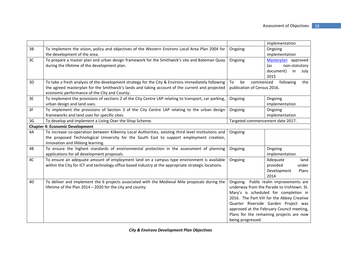|    |                                                                                                      |                                            | implementation                             |
|----|------------------------------------------------------------------------------------------------------|--------------------------------------------|--------------------------------------------|
| 3B | To implement the vision, policy and objectives of the Western Environs Local Area Plan 2004 for      | Ongoing                                    | Ongoing                                    |
|    | the development of the area.                                                                         |                                            | implementation                             |
| 3C | To prepare a master plan and urban design framework for the Smithwick's site and Bateman Quay        | Ongoing                                    | Masterplan approved                        |
|    | during the lifetime of the development plan.                                                         |                                            | (as<br>non-statutory                       |
|    |                                                                                                      |                                            | document)<br>in<br>July                    |
|    |                                                                                                      |                                            | 2015                                       |
| 3D | To take a fresh analysis of the development strategy for the City & Environs immediately following   | be<br>commenced<br>To                      | following<br>the                           |
|    | the agreed masterplan for the Smithwick's lands and taking account of the current and projected      | publication of Census 2016.                |                                            |
|    | economic performance of the City and County.                                                         |                                            |                                            |
| 3E | To implement the provisions of sections 2 of the City Centre LAP relating to transport, car parking, | Ongoing                                    | Ongoing                                    |
|    | urban design and land uses.                                                                          |                                            | implementation                             |
| 3F | To implement the provisions of Section 3 of the City Centre LAP relating to the urban design         | Ongoing                                    | Ongoing                                    |
|    | frameworks and land uses for specific sites.                                                         |                                            | implementation                             |
| 3G | To develop and implement a Living Over the Shop Scheme.                                              | Targeted commencement date 2017.           |                                            |
|    | <b>Chapter 4: Economic Development</b>                                                               |                                            |                                            |
| 4A | To increase co-operation between Kilkenny Local Authorities, existing third level institutions and   | Ongoing                                    |                                            |
|    | the proposed Technological University for the South East to support employment creation,             |                                            |                                            |
|    | innovation and lifelong learning.                                                                    |                                            |                                            |
| 4B | To ensure the highest standards of environmental protection in the assessment of planning            | Ongoing                                    | Ongoing                                    |
|    | applications for all development proposals.                                                          |                                            | implementation                             |
| 4C | To ensure an adequate amount of employment land on a campus type environment is available            | Ongoing                                    | Adequate<br>land                           |
|    | within the City for ICT and technology office based industry at the appropriate strategic locations. |                                            | provided<br>under                          |
|    |                                                                                                      |                                            | Development<br>Plans                       |
|    |                                                                                                      |                                            | 2014                                       |
| 4D | To deliver and implement the 6 projects associated with the Medieval Mile proposals during the       |                                            | Ongoing. Public realm improvements are     |
|    | lifetime of the Plan 2014 - 2020 for the city and county.                                            |                                            | underway from the Parade to Irishtown. St. |
|    |                                                                                                      |                                            | Mary's is scheduled for completion in      |
|    |                                                                                                      | 2016. The Part VIII for the Abbey Creative |                                            |
|    |                                                                                                      | Quarter Riverside Garden Project was       |                                            |
|    |                                                                                                      | approved at the February Council meeting,  |                                            |
|    |                                                                                                      |                                            | Plans for the remaining projects are now   |
|    |                                                                                                      | being progressed.                          |                                            |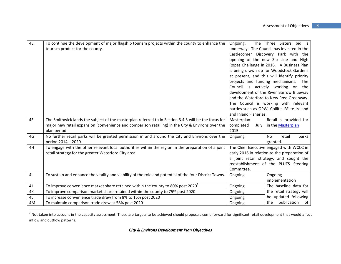| 4E             | To continue the development of major flagship tourism projects within the county to enhance the<br>tourism product for the county. | Ongoing.                         | bid is<br>The Three Sisters<br>underway. The Council has invested in the |
|----------------|------------------------------------------------------------------------------------------------------------------------------------|----------------------------------|--------------------------------------------------------------------------|
|                |                                                                                                                                    |                                  | Castlecomer Discovery Park with the                                      |
|                |                                                                                                                                    |                                  |                                                                          |
|                |                                                                                                                                    |                                  | opening of the new Zip Line and High                                     |
|                |                                                                                                                                    |                                  | Ropes Challenge in 2016. A Business Plan                                 |
|                |                                                                                                                                    |                                  | is being drawn up for Woodstock Gardens                                  |
|                |                                                                                                                                    |                                  | at present, and this will identify priority                              |
|                |                                                                                                                                    | projects and funding mechanisms. | The                                                                      |
|                |                                                                                                                                    |                                  | Council is actively working on the                                       |
|                |                                                                                                                                    |                                  | development of the River Barrow Blueway                                  |
|                |                                                                                                                                    |                                  | and the Waterford to New Ross Greenway.                                  |
|                |                                                                                                                                    |                                  | The Council is working with relevant                                     |
|                |                                                                                                                                    |                                  | parties such as OPW, Coillte, Fáilte Ireland                             |
|                |                                                                                                                                    | and Inland Fisheries.            |                                                                          |
| 4F             | The Smithwick lands the subject of the masterplan referred to in Section 3.4.3 will be the focus for                               | Masterplan                       | Retail is provided for                                                   |
|                | major new retail expansion (convenience and comparison retailing) in the City & Environs over the                                  | completed<br>July                | in the <b>Masterplan</b>                                                 |
|                | plan period.                                                                                                                       | 2015                             |                                                                          |
| 4G             | No further retail parks will be granted permission in and around the City and Environs over the                                    | Ongoing                          | No<br>retail<br>parks                                                    |
|                | period 2014 - 2020.                                                                                                                |                                  | granted.                                                                 |
| 4H             | To engage with the other relevant local authorities within the region in the preparation of a joint                                |                                  | The Chief Executive engaged with WCCC in                                 |
|                | retail strategy for the greater Waterford City area.                                                                               |                                  | early 2016 in relation to the preparation of                             |
|                |                                                                                                                                    |                                  | a joint retail strategy, and sought the                                  |
|                |                                                                                                                                    |                                  | reestablishment of the PLUTS Steering                                    |
|                |                                                                                                                                    | Committee.                       |                                                                          |
| 4 <sub>l</sub> | To sustain and enhance the vitality and viability of the role and potential of the four District Towns.                            | Ongoing                          | Ongoing                                                                  |
|                |                                                                                                                                    |                                  | implementation                                                           |
| 4 <sub>J</sub> | To improve convenience market share retained within the county to 80% post 2020 <sup>7</sup>                                       | Ongoing                          | The baseline data for                                                    |
| 4K             | To improve comparison market share retained within the county to 75% post 2020                                                     | Ongoing                          | the retail strategy will                                                 |
| 4L             | To increase convenience trade draw from 8% to 15% post 2020                                                                        | Ongoing                          | be updated following                                                     |
| 4M             | To maintain comparison trade draw at 58% post 2020                                                                                 | Ongoing                          | publication of<br>the                                                    |

 $^7$  Not taken into account in the capacity assessment. These are targets to be achieved should proposals come forward for significant retail development that would affect inflow and outflow patterns.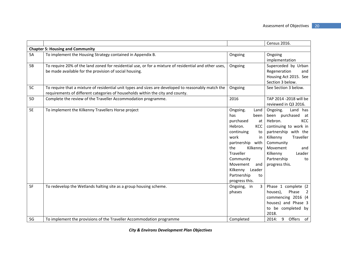|           |                                                                                                                                                                                       |                                                                                                                                                                                                                                                                   | Census 2016.                                                                                                                                                                                                                          |  |  |
|-----------|---------------------------------------------------------------------------------------------------------------------------------------------------------------------------------------|-------------------------------------------------------------------------------------------------------------------------------------------------------------------------------------------------------------------------------------------------------------------|---------------------------------------------------------------------------------------------------------------------------------------------------------------------------------------------------------------------------------------|--|--|
|           | <b>Chapter 5: Housing and Community</b>                                                                                                                                               |                                                                                                                                                                                                                                                                   |                                                                                                                                                                                                                                       |  |  |
| 5A        | To implement the Housing Strategy contained in Appendix B.                                                                                                                            | Ongoing                                                                                                                                                                                                                                                           | Ongoing<br>implementation                                                                                                                                                                                                             |  |  |
| 5B        | To require 20% of the land zoned for residential use, or for a mixture of residential and other uses,<br>be made available for the provision of social housing.                       | Ongoing                                                                                                                                                                                                                                                           | Superceded by Urban<br>Regeneration<br>and<br>Housing Act 2015. See<br>Section 3 below.                                                                                                                                               |  |  |
| 5C        | To require that a mixture of residential unit types and sizes are developed to reasonably match the<br>requirements of different categories of households within the city and county. | Ongoing                                                                                                                                                                                                                                                           | See Section 3 below.                                                                                                                                                                                                                  |  |  |
| 5D        | Complete the review of the Traveller Accommodation programme.                                                                                                                         | 2016                                                                                                                                                                                                                                                              | TAP 2014 -2018 will be<br>reviewed in Q3 2016.                                                                                                                                                                                        |  |  |
| <b>5E</b> | To implement the Kilkenny Travellers Horse project                                                                                                                                    | Ongoing.<br>Land<br>has<br>been<br>purchased<br>at<br>Hebron.<br><b>KCC</b><br>continuing<br>to<br>work<br>in<br>partnership<br>with<br>the<br>Kilkenny<br>Traveller<br>Community<br>Movement<br>and<br>Kilkenny<br>Leader<br>Partnership<br>to<br>progress this. | Ongoing.<br>Land has<br>been purchased<br>at<br>Hebron.<br>KCC<br>continuing to work in<br>partnership with the<br>Kilkenny<br>Traveller<br>Community<br>Movement<br>and<br>Leader<br>Kilkenny<br>Partnership<br>to<br>progress this. |  |  |
| 5F        | To redevelop the Wetlands halting site as a group housing scheme.                                                                                                                     | 3<br>Ongoing, in<br>phases                                                                                                                                                                                                                                        | Phase 1 complete (2<br>Phase<br>houses),<br>$\overline{2}$<br>commencing 2016 (4<br>houses) and Phase 3<br>to be completed by<br>2018.                                                                                                |  |  |
| 5G        | To implement the provisions of the Traveller Accommodation programme                                                                                                                  | Completed                                                                                                                                                                                                                                                         | 9<br>Offers of<br>2014:                                                                                                                                                                                                               |  |  |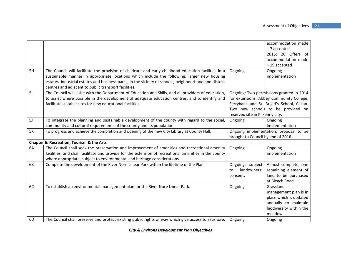|    |                                                                                                        |                                        | accommodation made                         |
|----|--------------------------------------------------------------------------------------------------------|----------------------------------------|--------------------------------------------|
|    |                                                                                                        |                                        | - 7 accepted.                              |
|    |                                                                                                        |                                        | 2015: 20 Offers of                         |
|    |                                                                                                        |                                        | accommodation made                         |
|    |                                                                                                        |                                        | -19 accepted                               |
| 5H | The Council will facilitate the provision of childcare and early childhood education facilities in a   | Ongoing                                | Ongoing                                    |
|    | sustainable manner in appropriate locations which include the following: larger new housing            |                                        | implementation                             |
|    | estates, industrial estates and business parks, in the vicinity of schools, neighbourhood and district |                                        |                                            |
|    | centres and adjacent to public transport facilities.                                                   |                                        |                                            |
| 51 | The Council will liaise with the Department of Education and Skills, and all providers of education,   |                                        | Ongoing: Two permissions granted in 2014   |
|    | to assist where possible in the development of adequate education centres, and to identify and         |                                        | for extensions; Abbey Community College,   |
|    | facilitate suitable sites for new educational facilities.                                              |                                        | Ferrybank and St. Brigid's School, Callan. |
|    |                                                                                                        |                                        | Two new schools to be provided on          |
|    |                                                                                                        | reserved site in Kilkenny city.        |                                            |
| 5J | To integrate the planning and sustainable development of the county with regard to the social,         | Ongoing                                | Ongoing                                    |
|    | community and cultural requirements of the county and its population.                                  |                                        | implementation                             |
| 5K | To progress and achieve the completion and opening of the new City Library at County Hall.             | Ongoing implementation; proposal to be |                                            |
|    |                                                                                                        | brought to Council by end of 2016.     |                                            |
|    | Chapter 6: Recreation, Tourism & the Arts                                                              |                                        |                                            |
| 6A | The Council shall seek the preservation and improvement of amenities and recreational amenity          | Ongoing                                | Ongoing                                    |
|    | facilities, and shall facilitate and provide for the extension of recreational amenities in the county |                                        | implementation                             |
|    | where appropriate, subject to environmental and heritage considerations.                               |                                        |                                            |
| 6B | Complete the development of the River Nore Linear Park within the lifetime of the Plan.                | Ongoing, subject                       | Almost complete, one                       |
|    |                                                                                                        | landowners'<br>to                      | remaining element of                       |
|    |                                                                                                        | consent.                               | land to be purchased                       |
|    |                                                                                                        |                                        | at Bleach Road.                            |
| 6C | To establish an environmental management plan for the River Nore Linear Park.                          | Ongoing                                | Grassland                                  |
|    |                                                                                                        |                                        | management plan is in                      |
|    |                                                                                                        |                                        | place which is updated                     |
|    |                                                                                                        |                                        | annually to maintain                       |
|    |                                                                                                        |                                        | biodiversity within the                    |
|    |                                                                                                        |                                        | meadows.                                   |
| 6D | The Council shall preserve and protect existing public rights of way which give access to seashore,    | Ongoing                                | Ongoing                                    |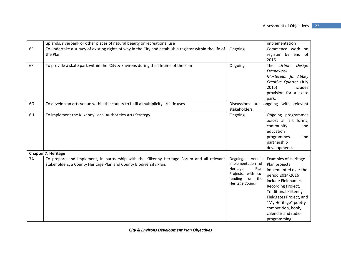|           | uplands, riverbank or other places of natural beauty or recreational use                                                                                         |                                                                                                                           | implementation                                                                                                                                                                                                                                                                     |
|-----------|------------------------------------------------------------------------------------------------------------------------------------------------------------------|---------------------------------------------------------------------------------------------------------------------------|------------------------------------------------------------------------------------------------------------------------------------------------------------------------------------------------------------------------------------------------------------------------------------|
| 6E        | To undertake a survey of existing rights of way in the City and establish a register within the life of<br>the Plan.                                             | Ongoing                                                                                                                   | Commence work<br>on<br>register by end of                                                                                                                                                                                                                                          |
|           |                                                                                                                                                                  |                                                                                                                           | 2016                                                                                                                                                                                                                                                                               |
| 6F        | To provide a skate park within the City & Environs during the lifetime of the Plan                                                                               | Ongoing                                                                                                                   | Urban<br><b>The</b><br>Design<br>Framework<br>Masterplan for Abbey<br>Creative Quarter (July<br>2015)<br>includes<br>provision for a skate<br>park.                                                                                                                                |
| 6G        | To develop an arts venue within the county to fulfil a multiplicity artistic uses.                                                                               | Discussions are<br>stakeholders.                                                                                          | ongoing with relevant                                                                                                                                                                                                                                                              |
| 6H        | To implement the Kilkenny Local Authorities Arts Strategy                                                                                                        | Ongoing                                                                                                                   | Ongoing programmes<br>across all art forms,<br>community<br>and<br>education<br>programmes<br>and<br>partnership<br>developments.                                                                                                                                                  |
|           | <b>Chapter 7: Heritage</b>                                                                                                                                       |                                                                                                                           |                                                                                                                                                                                                                                                                                    |
| <b>7A</b> | To prepare and implement, in partnership with the Kilkenny Heritage Forum and all relevant<br>stakeholders, a County Heritage Plan and County Biodiversity Plan. | Ongoing.<br>Annual<br>implementation of<br>Heritage<br>Plan<br>Projects, with co-<br>funding from the<br>Heritage Council | <b>Examples of Heritage</b><br>Plan projects<br>implemented over the<br>period 2014-2016<br>include Fieldnames<br>Recording Project,<br><b>Traditional Kilkenny</b><br>Fieldgates Project, and<br>"My Heritage" poetry<br>competition, book,<br>calendar and radio<br>programming. |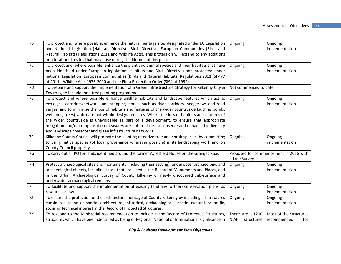| 7B        | To protect and, where possible, enhance the natural heritage sites designated under EU Legislation     | Ongoing                                | Ongoing                |
|-----------|--------------------------------------------------------------------------------------------------------|----------------------------------------|------------------------|
|           | and National Legislation (Habitats Directive, Birds Directive, European Communities (Birds and         |                                        | implementation         |
|           | Natural Habitats) Regulations 2011 and Wildlife Acts). This protection will extend to any additions    |                                        |                        |
|           | or alterations to sites that may arise during the lifetime of this plan.                               |                                        |                        |
| 7C        | To protect and, where possible, enhance the plant and animal species and their habitats that have      | Ongoing                                | Ongoing                |
|           | been identified under European legislation (Habitats and Birds Directive) and protected under          |                                        | implementation         |
|           | national Legislation (European Communities (Birds and Natural Habitats) Regulations 2011 (SI 477       |                                        |                        |
|           | of 2011), Wildlife Acts 1976-2010 and the Flora Protection Order (SI94 of 1999).                       |                                        |                        |
| 7D        | To prepare and support the implementation of a Green Infrastructure Strategy for Kilkenny City &       | Not commenced to date.                 |                        |
|           | Environs, to include for a tree planting programme.                                                    |                                        |                        |
| <b>7E</b> | To protect and where possible enhance wildlife habitats and landscape features which act as            | Ongoing                                | Ongoing                |
|           | ecological corridors/networks and stepping stones, such as river corridors, hedgerows and road         |                                        | implementation         |
|           | verges, and to minimise the loss of habitats and features of the wider countryside (such as ponds,     |                                        |                        |
|           | wetlands, trees) which are not within designated sites. Where the loss of habitats and features of     |                                        |                        |
|           | the wider countryside is unavoidable as part of a development, to ensure that appropriate              |                                        |                        |
|           | mitigation and/or compensation measures are put in place, to conserve and enhance biodiversity         |                                        |                        |
|           | and landscape character and green infrastructure networks.                                             |                                        |                        |
| 7F        | Kilkenny County Council will promote the planting of native tree and shrub species, by committing      | Ongoing                                | Ongoing                |
|           | to using native species (of local provenance wherever possible) in its landscaping work and on         |                                        | implementation         |
|           | County Council property.                                                                               |                                        |                        |
| 7G        | To carry out a TPO for lands identified around the former Ayresfield House on the Granges Road.        | Proposed for commencement in 2016 with |                        |
|           |                                                                                                        | a Tree Survey.                         |                        |
| 7H        | Protect archaeological sites and monuments (including their setting), underwater archaeology, and      | Ongoing                                | Ongoing                |
|           | archaeological objects, including those that are listed in the Record of Monuments and Places, and     |                                        | implementation         |
|           | in the Urban Archaeological Survey of County Kilkenny or newly discovered sub-surface and              |                                        |                        |
|           | underwater archaeological remains.                                                                     |                                        |                        |
| 71        | To facilitate and support the implementation of existing (and any further) conservation plans, as      | Ongoing                                | Ongoing                |
|           | resources allow.                                                                                       |                                        | implementation         |
| 7J        | To ensure the protection of the architectural heritage of County Kilkenny by including all structures  | Ongoing                                | Ongoing                |
|           | considered to be of special architectural, historical, archaeological, artistic, cultural, scientific, |                                        | implementation         |
|           | social or technical interest in the Record of Protected Structures.                                    |                                        |                        |
| <b>7K</b> | To respond to the Ministerial recommendation to include in the Record of Protected Structures,         | There are c.1200                       | Most of the structures |
|           | structures which have been identified as being of Regional, National or International significance in  | NIAH<br>structures                     | recommended<br>for     |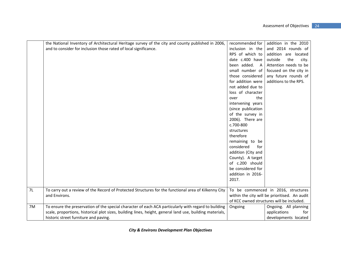|    | the National Inventory of Architectural Heritage survey of the city and county published in 2006,        | recommended for    | addition in the 2010                          |
|----|----------------------------------------------------------------------------------------------------------|--------------------|-----------------------------------------------|
|    | and to consider for inclusion those rated of local significance.                                         | inclusion in the   | and 2014 rounds of                            |
|    |                                                                                                          | RPS of which to    | addition are located                          |
|    |                                                                                                          | date c.400 have    | outside<br>the<br>city.                       |
|    |                                                                                                          | been added.<br>A   | Attention needs to be                         |
|    |                                                                                                          | small number of    | focused on the city in                        |
|    |                                                                                                          | those considered   | any future rounds of                          |
|    |                                                                                                          | for addition were  | additions to the RPS.                         |
|    |                                                                                                          | not added due to   |                                               |
|    |                                                                                                          | loss of character  |                                               |
|    |                                                                                                          | the<br>over        |                                               |
|    |                                                                                                          | intervening years  |                                               |
|    |                                                                                                          | (since publication |                                               |
|    |                                                                                                          | of the survey in   |                                               |
|    |                                                                                                          | 2006). There are   |                                               |
|    |                                                                                                          | c.700-800          |                                               |
|    |                                                                                                          | structures         |                                               |
|    |                                                                                                          | therefore          |                                               |
|    |                                                                                                          | remaining to be    |                                               |
|    |                                                                                                          | considered<br>for  |                                               |
|    |                                                                                                          | addition (City and |                                               |
|    |                                                                                                          | County). A target  |                                               |
|    |                                                                                                          | of c.200 should    |                                               |
|    |                                                                                                          | be considered for  |                                               |
|    |                                                                                                          | addition in 2016-  |                                               |
|    |                                                                                                          | 2017.              |                                               |
|    |                                                                                                          |                    |                                               |
| 7L | To carry out a review of the Record of Protected Structures for the functional area of Kilkenny City     |                    | To be commenced in 2016, structures           |
|    | and Environs.                                                                                            |                    | within the city will be prioritised. An audit |
|    |                                                                                                          |                    | of KCC owned structures will be included.     |
| 7M | To ensure the preservation of the special character of each ACA particularly with regard to building     | Ongoing            | Ongoing. All planning                         |
|    | scale, proportions, historical plot sizes, building lines, height, general land use, building materials, |                    | applications<br>for                           |
|    | historic street furniture and paving.                                                                    |                    | developments located                          |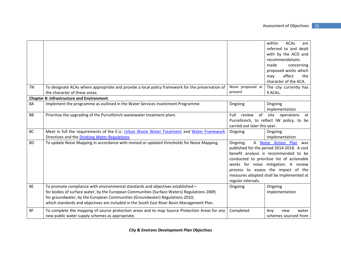|                |                                                                                                                                                                                                                                                                                                                                                             |                                                | within<br><b>ACAs</b><br>are<br>referred to and dealt<br>with by the ACO and<br>recommendations<br>made<br>concerning<br>proposed works which<br>affect<br>the<br>may<br>character of the ACA.                                                                                          |
|----------------|-------------------------------------------------------------------------------------------------------------------------------------------------------------------------------------------------------------------------------------------------------------------------------------------------------------------------------------------------------------|------------------------------------------------|-----------------------------------------------------------------------------------------------------------------------------------------------------------------------------------------------------------------------------------------------------------------------------------------|
| <b>7N</b>      | To designate ACAs where appropriate and provide a local policy framework for the preservation of<br>the character of these areas.                                                                                                                                                                                                                           | None proposed at<br>present                    | The city currently has<br>9 ACAs.                                                                                                                                                                                                                                                       |
|                | <b>Chapter 8: Infrastructure and Environment</b>                                                                                                                                                                                                                                                                                                            |                                                |                                                                                                                                                                                                                                                                                         |
| <b>8A</b>      | Implement the programme as outlined in the Water Services Investment Programme.                                                                                                                                                                                                                                                                             | Ongoing                                        | Ongoing<br>implementation                                                                                                                                                                                                                                                               |
| 8B             | Prioritise the upgrading of the Purcellsinch wastewater treatment plant.                                                                                                                                                                                                                                                                                    | review<br>Full<br>carried out later this year. | of site<br>operations<br>at<br>Purcellsinch, to reflect IW policy, to be                                                                                                                                                                                                                |
| 8C             | Meet in full the requirements of the E.U. Urban Waste Water Treatment and Water Framework<br>Directives and the Drinking Water Regulations.                                                                                                                                                                                                                 | Ongoing                                        | Ongoing<br>implementation                                                                                                                                                                                                                                                               |
| 8 <sub>D</sub> | To update Noise Mapping in accordance with revised or updated thresholds for Noise Mapping.                                                                                                                                                                                                                                                                 | Ongoing.<br>regular intervals.                 | A Noise Action Plan was<br>published for the period 2014-2018. A cost<br>benefit analysis is recommended to be<br>conducted to prioritise list of actionable<br>works for noise mitigation. A review<br>process to assess the impact of the<br>measures adopted shall be implemented at |
| <b>8E</b>      | To promote compliance with environmental standards and objectives established-<br>for bodies of surface water, by the European Communities (Surface Waters) Regulations 2009;<br>for groundwater, by the European Communities (Groundwater) Regulations 2010;<br>which standards and objectives are included in the South East River Basin Management Plan. | Ongoing                                        | Ongoing<br>implementation                                                                                                                                                                                                                                                               |
| 8F             | To complete the mapping of source protection areas and to map Source Protection Areas for any<br>new public water supply schemes as appropriate.                                                                                                                                                                                                            | Completed                                      | Any<br>water<br>new<br>schemes sourced from                                                                                                                                                                                                                                             |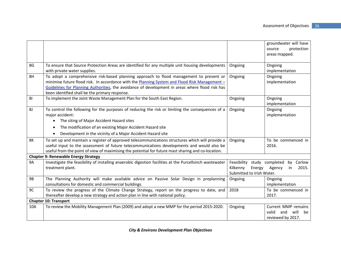|           |                                                                                                                                                                                                                                                                                                                                                |                                                                | groundwater will have<br>protection<br>source                          |
|-----------|------------------------------------------------------------------------------------------------------------------------------------------------------------------------------------------------------------------------------------------------------------------------------------------------------------------------------------------------|----------------------------------------------------------------|------------------------------------------------------------------------|
|           |                                                                                                                                                                                                                                                                                                                                                |                                                                | areas mapped.                                                          |
| 8G        | To ensure that Source Protection Areas are identified for any multiple unit housing developments<br>with private water supplies.                                                                                                                                                                                                               | Ongoing                                                        | Ongoing<br>implementation                                              |
| 8H        | To adopt a comprehensive risk-based planning approach to flood management to prevent or<br>minimise future flood risk. In accordance with the Planning System and Flood Risk Management -<br>Guidelines for Planning Authorities, the avoidance of development in areas where flood risk has<br>been identified shall be the primary response. | Ongoing                                                        | Ongoing<br>implementation                                              |
| 81        | To implement the Joint Waste Management Plan for the South East Region.                                                                                                                                                                                                                                                                        | Ongoing                                                        | Ongoing<br>implementation                                              |
| 8J        | To control the following for the purposes of reducing the risk or limiting the consequences of a<br>major accident:<br>The siting of Major Accident Hazard sites<br>$\bullet$                                                                                                                                                                  | Ongoing                                                        | Ongoing<br>implementation                                              |
|           | The modification of an existing Major Accident Hazard site<br>$\bullet$                                                                                                                                                                                                                                                                        |                                                                |                                                                        |
|           | Development in the vicinity of a Major Accident Hazard site<br>$\bullet$                                                                                                                                                                                                                                                                       |                                                                |                                                                        |
| 8K        | To set up and maintain a register of approved telecommunications structures which will provide a<br>useful input to the assessment of future telecommunications developments and would also be<br>useful from the point of view of maximising the potential for future mast sharing and co-location.                                           | Ongoing                                                        | To be commenced in<br>2016.                                            |
|           | <b>Chapter 9: Renewable Energy Strategy</b>                                                                                                                                                                                                                                                                                                    |                                                                |                                                                        |
| <b>9A</b> | Investigate the feasibility of installing anaerobic digestion facilities at the Purcellsinch wastewater<br>treatment plant.                                                                                                                                                                                                                    | Feasibility<br>Kilkenny<br>Energy<br>Submitted to Irish Water. | study completed<br>Carlow<br>by<br>2015.<br>Agency<br>in               |
| 9B        | The Planning Authority will make available advice on Passive Solar Design in preplanning<br>consultations for domestic and commercial buildings.                                                                                                                                                                                               | Ongoing                                                        | Ongoing<br>implementation                                              |
| 9C        | To review the progress of the Climate Change Strategy, report on the progress to date, and<br>thereafter develop a new strategy and action plan in line with national policy.                                                                                                                                                                  | 2018                                                           | To be commenced in<br>2017.                                            |
|           | <b>Chapter 10: Transport</b>                                                                                                                                                                                                                                                                                                                   |                                                                |                                                                        |
| 10A       | To review the Mobility Management Plan (2009) and adopt a new MMP for the period 2015-2020.                                                                                                                                                                                                                                                    | Ongoing                                                        | Current MMP remains<br>will<br>valid<br>and<br>be<br>reviewed by 2017. |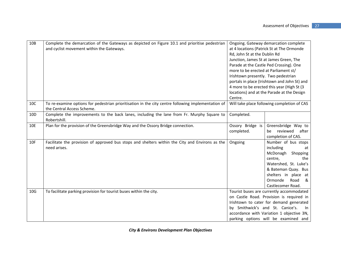| 10B             | Complete the demarcation of the Gateways as depicted on Figure 10.1 and prioritise pedestrian<br>and cyclist movement within the Gateways. | Ongoing. Gateway demarcation complete<br>at 4 locations (Patrick St at The Ormonde<br>Rd, John St at the Dublin Rd<br>Junction, James St at James Green, The<br>Parade at the Castle Ped Crossing). One<br>more to be erected at Parliament st/<br>Irishtown presently. Two pedestrian<br>portals in place (Irishtown and John St) and<br>4 more to be erected this year (High St (3<br>locations) and at the Parade at the Design<br>Centre. |                                                                                                                                                                                                                            |  |
|-----------------|--------------------------------------------------------------------------------------------------------------------------------------------|-----------------------------------------------------------------------------------------------------------------------------------------------------------------------------------------------------------------------------------------------------------------------------------------------------------------------------------------------------------------------------------------------------------------------------------------------|----------------------------------------------------------------------------------------------------------------------------------------------------------------------------------------------------------------------------|--|
| 10C             | To re-examine options for pedestrian prioritisation in the city centre following implementation of<br>the Central Access Scheme.           |                                                                                                                                                                                                                                                                                                                                                                                                                                               | Will take place following completion of CAS                                                                                                                                                                                |  |
| 10 <sub>D</sub> | Complete the improvements to the back lanes, including the lane from Fr. Murphy Square to<br>Robertshill.                                  | Completed.                                                                                                                                                                                                                                                                                                                                                                                                                                    |                                                                                                                                                                                                                            |  |
| 10E             | Plan for the provision of the Greensbridge Way and the Ossory Bridge connection.                                                           | Ossory Bridge is<br>completed.                                                                                                                                                                                                                                                                                                                                                                                                                | Greensbridge Way to<br>reviewed<br>after<br>be<br>completion of CAS.                                                                                                                                                       |  |
| 10F             | Facilitate the provision of approved bus stops and shelters within the City and Environs as the<br>need arises.                            | Ongoing                                                                                                                                                                                                                                                                                                                                                                                                                                       | Number of bus stops<br>including<br>at<br>McDonagh<br>Shopping<br>centre,<br>the<br>Watershed, St. Luke's<br>& Bateman Quay. Bus<br>shelters in place at<br>Ormonde<br>Road<br>&<br>Castlecomer Road.                      |  |
| 10 <sub>G</sub> | To facilitate parking provision for tourist buses within the city.                                                                         | by Smithwick's and St. Canice's.                                                                                                                                                                                                                                                                                                                                                                                                              | Tourist buses are currently accommodated<br>on Castle Road. Provision is required in<br>Irishtown to cater for demand generated<br>In<br>accordance with Variation 1 objective 3N,<br>parking options will be examined and |  |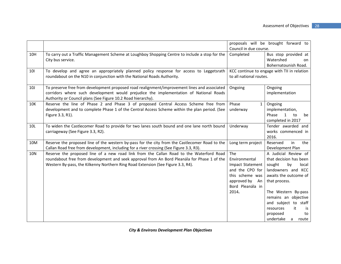|            |                                                                                                                                                                                                                                                                            | proposals will be brought forward to<br>Council in due course.                                                                   |                                                                                                                                                                                                                                                                                   |  |
|------------|----------------------------------------------------------------------------------------------------------------------------------------------------------------------------------------------------------------------------------------------------------------------------|----------------------------------------------------------------------------------------------------------------------------------|-----------------------------------------------------------------------------------------------------------------------------------------------------------------------------------------------------------------------------------------------------------------------------------|--|
| 10H        | To carry out a Traffic Management Scheme at Loughboy Shopping Centre to include a stop for the<br>City bus service.                                                                                                                                                        | Completed                                                                                                                        | Bus stop provided at<br>Watershed<br>on<br>Bohernatounish Road.                                                                                                                                                                                                                   |  |
| 101        | To develop and agree an appropriately planned policy response for access to Leggetsrath<br>roundabout on the N10 in conjunction with the National Roads Authority.                                                                                                         | KCC continue to engage with TII in relation<br>to all national routes.                                                           |                                                                                                                                                                                                                                                                                   |  |
| 10J        | To preserve free from development proposed road realignment/improvement lines and associated<br>corridors where such development would prejudice the implementation of National Roads<br>Authority or Council plans (See Figure 10.2 Road hierarchy).                      | Ongoing                                                                                                                          | Ongoing<br>implementation                                                                                                                                                                                                                                                         |  |
| 10K        | Reserve the line of Phase 2 and Phase 3 of proposed Central Access Scheme free from<br>development and to complete Phase 1 of the Central Access Scheme within the plan period. (See<br>Figure 3.3, R1).                                                                   | Phase<br>$\mathbf{1}$<br>underway                                                                                                | Ongoing<br>implementation,<br>Phase<br>to<br>1<br>be<br>completed in 2017                                                                                                                                                                                                         |  |
| 10L        | To widen the Castlecomer Road to provide for two lanes south bound and one lane north bound<br>carriageway (See Figure 3.3, R2).                                                                                                                                           | Underway                                                                                                                         | Tender awarded and<br>works commenced in<br>2016.                                                                                                                                                                                                                                 |  |
| 10M        | Reserve the proposed line of the western by-pass for the city from the Castlecomer Road to the<br>Callan Road free from development, including for a river crossing (See Figure 3.3, R3).                                                                                  | Long term project                                                                                                                | Reserved<br>in<br>the<br>Development Plan                                                                                                                                                                                                                                         |  |
| <b>10N</b> | Reserve the proposed line of a new road link from the Callan Road to the Waterford Road<br>roundabout free from development and seek approval from An Bord Pleanála for Phase 1 of the<br>Western By-pass, the Kilkenny Northern Ring Road Extension (See Figure 3.3, R4). | The<br>Environmental<br>Impact Statement<br>and the CPO for<br>this scheme was<br>approved by<br>An<br>Bord Pleanála in<br>2014. | A Judicial Review of<br>that decision has been<br>sought<br>by<br>local<br>landowners and KCC<br>awaits the outcome of<br>that process.<br>The Western By-pass<br>remains an objective<br>and subject to staff<br>it<br>resources<br>is<br>proposed<br>to<br>undertake<br>a route |  |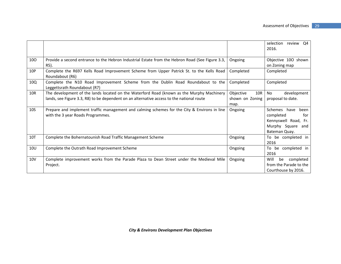|                 |                                                                                                                                                                                        |                                             | selection review Q4<br>2016.                                                                           |
|-----------------|----------------------------------------------------------------------------------------------------------------------------------------------------------------------------------------|---------------------------------------------|--------------------------------------------------------------------------------------------------------|
| 100             | Provide a second entrance to the Hebron Industrial Estate from the Hebron Road (See Figure 3.3,<br>R5).                                                                                | Ongoing                                     | Objective 100 shown<br>on Zoning map                                                                   |
| 10P             | Complete the R697 Kells Road Improvement Scheme from Upper Patrick St. to the Kells Road<br>Roundabout (R6)                                                                            | Completed                                   | Completed                                                                                              |
| 10Q             | Complete the N10 Road Improvement Scheme from the Dublin Road Roundabout to the<br>Leggettsrath Roundabout (R7)                                                                        | Completed                                   | Completed                                                                                              |
| 10R             | The development of the lands located on the Waterford Road (known as the Murphy Machinery<br>lands, see Figure 3.3, R8) to be dependent on an alternative access to the national route | Objective<br>10R<br>shown on Zoning<br>map. | No<br>development<br>proposal to date.                                                                 |
| 10 <sub>S</sub> | Prepare and implement traffic management and calming schemes for the City & Environs in line<br>with the 3 year Roads Programmes.                                                      | Ongoing                                     | Schemes have<br>been<br>completed<br>for<br>Kennyswell Road, Fr.<br>Murphy Square and<br>Bateman Quay. |
| 10T             | Complete the Bohernatounish Road Traffic Management Scheme                                                                                                                             | Ongoing                                     | To be completed in<br>2016                                                                             |
| 10 <sub>U</sub> | Complete the Outrath Road Improvement Scheme                                                                                                                                           | Ongoing                                     | To be completed in<br>2016                                                                             |
| <b>10V</b>      | Complete improvement works from the Parade Plaza to Dean Street under the Medieval Mile<br>Project.                                                                                    | Ongoing                                     | completed<br>Will<br>be<br>from the Parade to the<br>Courthouse by 2016.                               |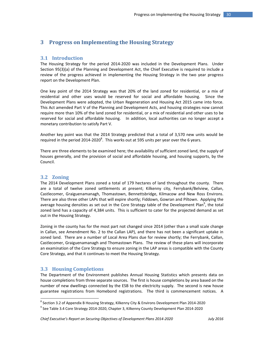# **3 Progress on Implementing the Housing Strategy**

## **3.1 Introduction**

The Housing Strategy for the period 2014‐2020 was included in the Development Plans. Under Section 95(3)(a) of the Planning and Development Act, the Chief Executive is required to include a review of the progress achieved in implementing the Housing Strategy in the two year progress report on the Development Plan.

One key point of the 2014 Strategy was that 20% of the land zoned for residential, or a mix of residential and other uses would be reserved for social and affordable housing. Since the Development Plans were adopted, the Urban Regeneration and Housing Act 2015 came into force. This Act amended Part V of the Planning and Development Acts, and housing strategies now cannot require more than 10% of the land zoned for residential, or a mix of residential and other uses to be reserved for social and affordable housing. In addition, local authorities can no longer accept a monetary contribution to satisfy Part V.

Another key point was that the 2014 Strategy predicted that a total of 3,570 new units would be required in the period 2014-2020<sup>8</sup>. This works out at 595 units per year over the 6 years.

There are three elements to be examined here; the availability of sufficient zoned land, the supply of houses generally, and the provision of social and affordable housing, and housing supports, by the Council.

## **3.2 Zoning**

The 2014 Development Plans zoned a total of 179 hectares of land throughout the county. There are a total of twelve zoned settlements at present; Kilkenny city, Ferrybank/Belview, Callan, Castlecomer, Graiguenamanagh, Thomastown, Bennettsbridge, Kilmacow and New Ross Environs. There are also three other LAPs that will expire shortly; Fiddown, Gowran and Piltown. Applying the average housing densities as set out in the Core Strategy table of the Development Plan<sup>9</sup>, the total zoned land has a capacity of 4,384 units. This is sufficient to cater for the projected demand as set out in the Housing Strategy.

Zoning in the county has for the most part not changed since 2014 (other than a small scale change in Callan, see Amendment No. 2 to the Callan LAP), and there has not been a significant uptake in zoned land. There are a number of Local Area Plans due for review shortly; the Ferrybank, Callan, Castlecomer, Graiguenamanagh and Thomastown Plans. The review of these plans will incorporate an examination of the Core Strategy to ensure zoning in the LAP areas is compatible with the County Core Strategy, and that it continues to meet the Housing Strategy.

## **3.3 Housing Completions**

The Department of the Environment publishes Annual Housing Statistics which presents data on house completions from three separate sources. The first is house completions by area based on the number of new dwellings connected by the ESB to the electricity supply. The second is new house guarantee registrations from Homebond registrations. The third is commencement notices. A

<sup>8</sup> Section 3.2 of Appendix B Housing Strategy, Kilkenny City & Environs Development Plan 2014‐2020

<sup>&</sup>lt;sup>9</sup> See Table 3.4 Core Strategy 2014‐2020, Chapter 3, Kilkenny County Development Plan 2014‐2020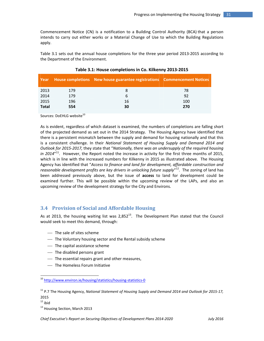Commencement Notice (CN) is a notification to a Building Control Authority (BCA) that a person intends to carry out either works or a Material Change of Use to which the Building Regulations apply.

Table 3.1 sets out the annual house completions for the three year period 2013‐2015 according to the Department of the Environment.

| Year         |     | <b>House completions New house guarantee registrations Commencement Notices</b> |     |
|--------------|-----|---------------------------------------------------------------------------------|-----|
| 2013         | 179 |                                                                                 | 78  |
| 2014         | 179 | b                                                                               | 92  |
| 2015         | 196 | 16                                                                              | 100 |
| <b>Total</b> | 554 | 30                                                                              | 270 |

## **Table 3.1: House completions in Co. Kilkenny 2013‐2015**

Sources: DoEHLG website<sup>10</sup>

As is evident, regardless of which dataset is examined, the numbers of completions are falling short of the projected demand as set out in the 2014 Strategy. The Housing Agency have identified that there is a persistent mismatch between the supply and demand for housing nationally and that this is a consistent challenge. In their *National Statement of Housing Supply and Demand 2014 and Outlook for 2015‐2017,* they state that "*Nationally, there was an undersupply of the required housing* in 2014"<sup>11</sup>. However, the Report noted the increase in activity for the first three months of 2015, which is in line with the increased numbers for Kilkenny in 2015 as illustrated above. The Housing Agency has identified that "*Access to finance and land for development, affordable construction and reasonable development profits are key drivers in unlocking future supply*" 12. The zoning of land has been addressed previously above, but the issue of **access** to land for development could be examined further. This will be possible within the upcoming review of the LAPs, and also an upcoming review of the development strategy for the City and Environs.

## **3.4 Provision of Social and Affordable Housing**

As at 2013, the housing waiting list was  $2,852^{13}$ . The Development Plan stated that the Council would seek to meet this demand, through:

- The sale of sites scheme
- The Voluntary housing sector and the Rental subsidy scheme
- The capital assistance scheme
- The disabled persons grant

- The essential repairs grant and other measures,
- The Homeless Forum Initiative

<sup>&</sup>lt;sup>10</sup> http://www.environ.ie/housing/statistics/housing-statistics-0

<sup>11</sup> P.7 The Housing Agency, *National Statement of Housing Supply and Demand 2014 and Outlook for 2015‐17,*

<sup>2015</sup>

 $12$  ibid

<sup>&</sup>lt;sup>13</sup> Housing Section, March 2013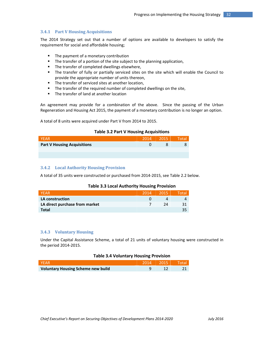## **3.4.1 Part V Housing Acquisitions**

The 2014 Strategy set out that a number of options are available to developers to satisfy the requirement for social and affordable housing;

- The payment of a monetary contribution
- The transfer of a portion of the site subject to the planning application,
- The transfer of completed dwellings elsewhere,
- The transfer of fully or partially serviced sites on the site which will enable the Council to provide the appropriate number of units thereon,
- The transfer of serviced sites at another location,
- **The transfer of the required number of completed dwellings on the site,**
- **The transfer of land at another location**

An agreement may provide for a combination of the above. Since the passing of the Urban Regeneration and Housing Act 2015, the payment of a monetary contribution is no longer an option.

A total of 8 units were acquired under Part V from 2014 to 2015.

## **Table 3.2 Part V Housing Acquisitions**

| NFAR                               | 2014 | 2015 |  |
|------------------------------------|------|------|--|
| <b>Part V Housing Acquisitions</b> |      |      |  |
|                                    |      |      |  |
|                                    |      |      |  |

## **3.4.2 Local Authority Housing Provision**

A total of 35 units were constructed or purchased from 2014‐2015, see Table 2.2 below.

### **Table 3.3 Local Authority Housing Provision**

| <b>NFAR</b>                    | 2014 | 2015 | Total |
|--------------------------------|------|------|-------|
| <b>LA construction</b>         |      |      |       |
| LA direct purchase from market |      | 7Δ   |       |
| <b>Total</b>                   |      |      | 35    |

## **3.4.3 Voluntary Housing**

Under the Capital Assistance Scheme, a total of 21 units of voluntary housing were constructed in the period 2014‐2015.

### **Table 3.4 Voluntary Housing Provision**

| <b>TIYE A Re</b>                          |  |  |
|-------------------------------------------|--|--|
| <b>Voluntary Housing Scheme new build</b> |  |  |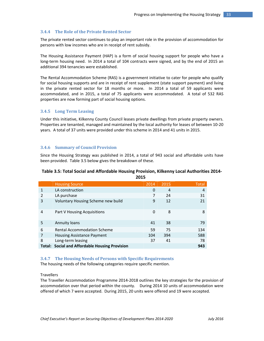## **3.4.4 The Role of the Private Rented Sector**

The private rented sector continues to play an important role in the provision of accommodation for persons with low incomes who are in receipt of rent subsidy.

The Housing Assistance Payment (HAP) is a form of social housing support for people who have a long-term housing need. In 2014 a total of 104 contracts were signed, and by the end of 2015 an additional 394 tenancies were established.

The Rental Accommodation Scheme (RAS) is a government initiative to cater for people who qualify for social housing supports and are in receipt of rent supplement (state support payment) and living in the private rented sector for 18 months or more. In 2014 a total of 59 applicants were accommodated, and in 2015, a total of 75 applicants were accommodated. A total of 532 RAS properties are now forming part of social housing options.

## **3.4.5 Long Term Leasing**

Under this initiative, Kilkenny County Council leases private dwellings from private property owners. Properties are tenanted, managed and maintained by the local authority for leases of between 10‐20 years. A total of 37 units were provided under this scheme in 2014 and 41 units in 2015.

## **3.4.6 Summary of Council Provision**

Since the Housing Strategy was published in 2014, a total of 943 social and affordable units have been provided. Table 3.5 below gives the breakdown of these.

## **Table 3.5: Total Social and Affordable Housing Provision, Kilkenny Local Authorities 2014‐ 2015**

|                | <b>Housing Source</b>                                 | 2014 | 2015 | <b>Total</b> |
|----------------|-------------------------------------------------------|------|------|--------------|
| 1              | LA construction                                       | 0    | 4    | 4            |
| 2              | LA purchase                                           | 7    | 24   | 31           |
| 3              | Voluntary Housing Scheme new build                    | 9    | 12   | 21           |
|                |                                                       |      |      |              |
| $\overline{4}$ | Part V Housing Acquisitions                           | 0    | 8    | 8            |
|                |                                                       |      |      |              |
| 5              | Annuity loans                                         | 41   | 38   | 79           |
| 6              | <b>Rental Accommodation Scheme</b>                    | 59   | 75   | 134          |
| 7              | <b>Housing Assistance Payment</b>                     | 104  | 394  | 588          |
| 8              | Long-term leasing                                     | 37   | 41   | 78           |
|                | <b>Total: Social and Affordable Housing Provision</b> |      |      | 943          |

## **3.4.7 The Housing Needs of Persons with Specific Requirements**

The housing needs of the following categories require specific mention.

## **Travellers**

The Traveller Accommodation Programme 2014‐2018 outlines the key strategies for the provision of accommodation over that period within the county. During 2014 10 units of accommodation were offered of which 7 were accepted. During 2015, 20 units were offered and 19 were accepted.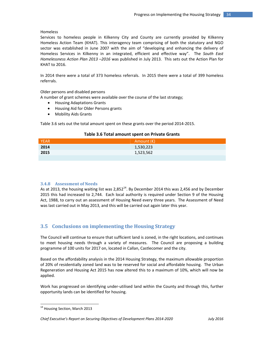## **Homeless**

Services to homeless people in Kilkenny City and County are currently provided by Kilkenny Homeless Action Team (KHAT). This interagency team comprising of both the statutory and NGO sector was established in June 2007 with the aim of "developing and enhancing the delivery of Homeless Services in Kilkenny in an integrated, efficient and effective way". The *South East Homelessness Action Plan 2013 –2016* was published in July 2013. This sets out the Action Plan for KHAT to 2016.

In 2014 there were a total of 373 homeless referrals. In 2015 there were a total of 399 homeless referrals.

## Older persons and disabled persons

A number of grant schemes were available over the course of the last strategy;

- Housing Adaptations Grants
- Housing Aid for Older Persons grants
- Mobility Aids Grants

Table 3.6 sets out the total amount spent on these grants over the period 2014‐2015.

## **Table 3.6 Total amount spent on Private Grants**

| <b>YEAR</b> | Amount $(\epsilon)$ |
|-------------|---------------------|
| 2014        | 1,530,223           |
| 2015        | 1,523,562           |
|             |                     |

## **3.4.8 Assessment of Needs**

As at 2013, the housing waiting list was 2,852<sup>14</sup>. By December 2014 this was 2,456 and by December 2015 this had increased to 2,744. Each local authority is required under Section 9 of the Housing Act, 1988, to carry out an assessment of Housing Need every three years. The Assessment of Need was last carried out in May 2013, and this will be carried out again later this year.

# **3.5 Conclusions on implementing the Housing Strategy**

The Council will continue to ensure that sufficient land is zoned, in the right locations, and continues to meet housing needs through a variety of measures. The Council are proposing a building programme of 100 units for 2017 on, located in Callan, Castlecomer and the city.

Based on the affordability analysis in the 2014 Housing Strategy, the maximum allowable proportion of 20% of residentially zoned land was to be reserved for social and affordable housing. The Urban Regeneration and Housing Act 2015 has now altered this to a maximum of 10%, which will now be applied.

Work has progressed on identifying under-utilised land within the County and through this, further opportunity lands can be identified for housing.

<sup>&</sup>lt;sup>14</sup> Housing Section, March 2013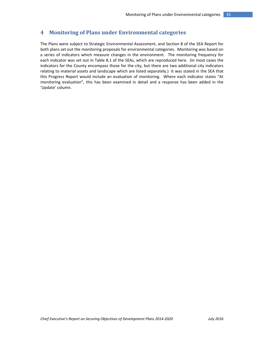# **4 Monitoring of Plans under Environmental categories**

The Plans were subject to Strategic Environmental Assessment, and Section 8 of the SEA Report for both plans set out the monitoring proposals for environmental categories. Monitoring was based on a series of indicators which measure changes in the environment. The monitoring frequency for each indicator was set out in Table 8.1 of the SEAs, which are reproduced here. (In most cases the indicators for the County encompass those for the city, but there are two additional city indicators relating to material assets and landscape which are listed separately.) It was stated in the SEA that this Progress Report would include an evaluation of monitoring. Where each indicator states "At monitoring evaluation", this has been examined in detail and a response has been added in the 'Update' column.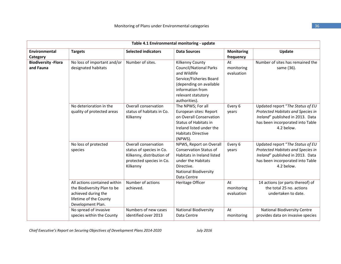| Table 4.1 Environmental monitoring - update |                                                                                                                                   |                                                                                                                       |                                                                                                                                                                                   |                                |                                                                                                                                                             |  |
|---------------------------------------------|-----------------------------------------------------------------------------------------------------------------------------------|-----------------------------------------------------------------------------------------------------------------------|-----------------------------------------------------------------------------------------------------------------------------------------------------------------------------------|--------------------------------|-------------------------------------------------------------------------------------------------------------------------------------------------------------|--|
| Environmental<br>Category                   | <b>Targets</b>                                                                                                                    | <b>Selected indicators</b>                                                                                            | <b>Data Sources</b>                                                                                                                                                               | Monitoring<br>frequency        | Update                                                                                                                                                      |  |
| <b>Biodiversity - Flora</b><br>and Fauna    | No loss of important and/or<br>designated habitats                                                                                | Number of sites.                                                                                                      | Kilkenny County<br><b>Council/National Parks</b><br>and Wildlife<br>Service/Fisheries Board<br>(depending on available<br>information from<br>relevant statutory<br>authorities). | At<br>monitoring<br>evaluation | Number of sites has remained the<br>same (36).                                                                                                              |  |
|                                             | No deterioration in the<br>quality of protected areas                                                                             | Overall conservation<br>status of habitats in Co.<br>Kilkenny                                                         | The NPWS; For all<br>European sites: Report<br>on Overall Conservation<br>Status of Habitats in<br>Ireland listed under the<br><b>Habitats Directive</b><br>(NPWS).               | Every 6<br>years               | Updated report "The Status of EU<br>Protected Habitats and Species in<br>Ireland" published in 2013. Data<br>has been incorporated into Table<br>4.2 below. |  |
|                                             | No loss of protected<br>species                                                                                                   | Overall conservation<br>status of species in Co.<br>Kilkenny, distribution of<br>protected species in Co.<br>Kilkenny | NPWS, Report on Overall<br><b>Conservation Status of</b><br>Habitats in Ireland listed<br>under the Habitats<br>Directive.<br><b>National Biodiversity</b><br>Data Centre         | Every 6<br>years               | Updated report "The Status of EU<br>Protected Habitats and Species in<br>Ireland" published in 2013. Data<br>has been incorporated into Table<br>4.2 below. |  |
|                                             | All actions contained within<br>the Biodiversity Plan to be<br>achieved during the<br>lifetime of the County<br>Development Plan. | Number of actions<br>achieved.                                                                                        | Heritage Officer                                                                                                                                                                  | At<br>monitoring<br>evaluation | 14 actions (or parts thereof) of<br>the total 25 no. actions<br>undertaken to date.                                                                         |  |
|                                             | No spread of invasive<br>species within the County                                                                                | Numbers of new cases<br>identified over 2013                                                                          | <b>National Biodiversity</b><br>Data Centre                                                                                                                                       | At<br>monitoring               | <b>National Biodiversity Centre</b><br>provides data on invasive species                                                                                    |  |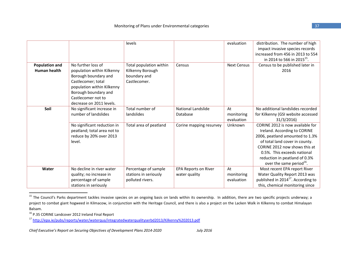|                       |                                                                                                                                                                                  | levels                                                            |                                              | evaluation                     | distribution. The number of high<br>impact invasive species records<br>increased from 456 in 2013 to 554<br>in 2014 to 566 in 2015 <sup>15</sup> .                                                                                                                             |
|-----------------------|----------------------------------------------------------------------------------------------------------------------------------------------------------------------------------|-------------------------------------------------------------------|----------------------------------------------|--------------------------------|--------------------------------------------------------------------------------------------------------------------------------------------------------------------------------------------------------------------------------------------------------------------------------|
| <b>Population and</b> | No further loss of                                                                                                                                                               | Total population within                                           | Census                                       | <b>Next Census</b>             | Census to be published later in                                                                                                                                                                                                                                                |
| Human health          | population within Kilkenny<br>Borough boundary and<br>Castlecomer; total<br>population within Kilkenny<br>Borough boundary and<br>Castlecomer not to<br>decrease on 2011 levels. | Kilkenny Borough<br>boundary and<br>Castlecomer.                  |                                              |                                | 2016                                                                                                                                                                                                                                                                           |
| Soil                  | No significant increase in<br>number of landslides                                                                                                                               | Total number of<br>landslides                                     | <b>National Landslide</b><br>Database        | At<br>monitoring<br>evaluation | No additional landslides recorded<br>for Kilkenny (GSI website accessed<br>31/3/2016                                                                                                                                                                                           |
|                       | No significant reduction in<br>peatland; total area not to<br>reduce by 20% over 2013<br>level.                                                                                  | Total area of peatland                                            | Corine mapping resurvey                      | Unknown                        | CORINE 2012 is now available for<br>Ireland. According to CORINE<br>2006, peatland amounted to 1.3%<br>of total land cover in county.<br>CORINE 2012 now shows this at<br>0.5%. This exceeds national<br>reduction in peatland of 0.3%<br>over the same period <sup>16</sup> . |
| Water                 | No decline in river water<br>quality; no increase in<br>percentage of sample<br>stations in seriously                                                                            | Percentage of sample<br>stations in seriously<br>polluted rivers. | <b>EPA Reports on River</b><br>water quality | At<br>monitoring<br>evaluation | Most recent EPA report River<br>Water Quality Report 2013 was<br>published in 2014 <sup>17</sup> . According to<br>this, chemical monitoring since                                                                                                                             |

<sup>&</sup>lt;sup>15</sup> The Council's Parks department tackles invasive species on an ongoing basis on lands within its ownership. In addition, there are two specific projects underway; a project to combat giant hogweed in Kilmacow, in conjunction with the Heritage Council, and there is also <sup>a</sup> project on the Lacken Walk in Kilkenny to combat Himalayan Balsam.

<sup>&</sup>lt;sup>16</sup> P.35 CORINE Landcover 2012 Ireland Final Report

<sup>&</sup>lt;sup>17</sup> http://epa.ie/pubs/reports/water/waterqua/integratedwaterqualityserbd2013/Kilkenny%202013.pdf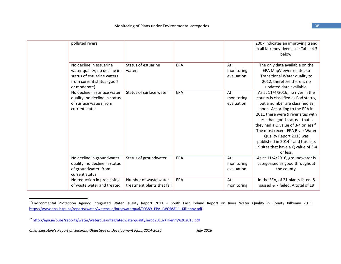| polluted rivers.                                                                                                                   |                                                     |     |                                | 2007 indicates an improving trend<br>in all Kilkenny rivers, see Table 4.3<br>below.                                                                                                                                                                                                                                                                                                                                                  |
|------------------------------------------------------------------------------------------------------------------------------------|-----------------------------------------------------|-----|--------------------------------|---------------------------------------------------------------------------------------------------------------------------------------------------------------------------------------------------------------------------------------------------------------------------------------------------------------------------------------------------------------------------------------------------------------------------------------|
| No decline in estuarine<br>water quality; no decline in<br>status of estuarine waters<br>from current status (good<br>or moderate) | Status of estuarine<br>waters                       | EPA | At<br>monitoring<br>evaluation | The only data available on the<br>EPA MapViewer relates to<br>Transitional Water quality to<br>2012, therefore there is no<br>updated data available.                                                                                                                                                                                                                                                                                 |
| No decline in surface water<br>quality; no decline in status<br>of surface waters from<br>current status                           | Status of surface water                             | EPA | At<br>monitoring<br>evaluation | As at 11/4/2016, no river in the<br>county is classified as Bad status,<br>but a number are classified as<br>poor. According to the EPA in<br>2011 there were 9 river sites with<br>less than good status - that is<br>they had a Q value of 3-4 or less $^{18}$ .<br>The most recent EPA River Water<br>Quality Report 2013 was<br>published in 2014 <sup>19</sup> and this lists<br>19 sites that have a Q value of 3-4<br>or less. |
| No decline in groundwater<br>quality; no decline in status<br>of groundwater from<br>current status                                | Status of groundwater                               | EPA | At<br>monitoring<br>evaluation | As at 11/4/2016, groundwater is<br>categorised as good throughout<br>the county.                                                                                                                                                                                                                                                                                                                                                      |
| No reduction in processing<br>of waste water and treated                                                                           | Number of waste water<br>treatment plants that fail | EPA | At<br>monitoring               | In the SEA, of 21 plants listed, 8<br>passed & 7 failed. A total of 19                                                                                                                                                                                                                                                                                                                                                                |

<sup>&</sup>lt;sup>18</sup>Environmental Protection Agency Integrated Water Quality Report 2011 – South East Ireland Report on River Water Quality in County Kilkenny 2011 https://www.epa.ie/pubs/reports/water/waterqua/integwaterqual/00389\_EPA\_IWQRSE11\_Kilkenny.pdf

<sup>&</sup>lt;sup>19</sup> http://epa.ie/pubs/reports/water/waterqua/integratedwaterqualityserbd2013/Kilkenny%202013.pdf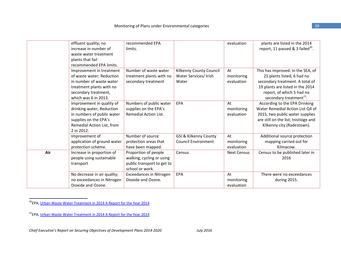|     | effluent quality; no<br>increase in number of<br>waste water treatment<br>plants that fail<br>recommended EPA limits.                                         | recommended EPA<br>limits.                                                                         |                                                                | evaluation                     | plants are listed in the 2014<br>report, 11 passed & 3 failed <sup>20</sup> .                                                                                                                              |
|-----|---------------------------------------------------------------------------------------------------------------------------------------------------------------|----------------------------------------------------------------------------------------------------|----------------------------------------------------------------|--------------------------------|------------------------------------------------------------------------------------------------------------------------------------------------------------------------------------------------------------|
|     | Improvement in treatment<br>of waste water; Reduction<br>in number of waste water<br>treatment plants with no<br>secondary treatment,<br>which was 6 in 2013. | Number of waste water<br>treatment plants with no<br>secondary treatment                           | Kilkenny County Council<br>Water Services/ Irish<br>Water      | At<br>monitoring<br>evaluation | This has improved: In the SEA, of<br>21 plants listed, 6 had no<br>secondary treatment. A total of<br>19 plants are listed in the 2014<br>report, of which 5 had no<br>secondary treatment <sup>21</sup> . |
|     | Improvement in quality of<br>drinking water; Reduction<br>in numbers of public water<br>supplies on the EPA's<br>Remedial Action List, from<br>2 in 2012.     | Numbers of public water<br>supplies on the EPA's<br>Remedial Action List.                          | EPA                                                            | At<br>monitoring<br>evaluation | According to the EPA Drinking<br>Water Remedial Action List Q4 of<br>2015, two public water supplies<br>are still on the list; Inistioge and<br>Kilkenny city (Radestown).                                 |
|     | Improvement of<br>application of ground water<br>protection scheme.                                                                                           | Number of source<br>protection areas that<br>have been mapped.                                     | <b>GSI &amp; Kilkenny County</b><br><b>Council Environment</b> | At<br>monitoring<br>evaluation | Additional source protection<br>mapping carried out for<br>Kilmacow.                                                                                                                                       |
| Air | Increase in proportion of<br>people using sustainable<br>transport                                                                                            | Proportion of people<br>walking, cycling or using<br>public transport to get to<br>school or work. | Census                                                         | <b>Next Census</b>             | Census to be published later in<br>2016                                                                                                                                                                    |
|     | No decrease in air quality;<br>no exceedances in Nitrogen<br>Dioxide and Ozone.                                                                               | <b>Exceedances in Nitrogen</b><br>Dioxide and Ozone.                                               | EPA                                                            | At<br>monitoring<br>evaluation | There were no exceedances<br>during 2015.                                                                                                                                                                  |

<sup>20</sup>EPA, Urban Waste Water Treatment in 2014 A Report for the Year 2014

<sup>21</sup>EPA, Urban Waste Water Treatment in 2014 A Report for the Year 2014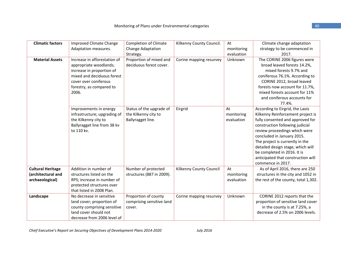| <b>Climatic factors</b>                                           | <b>Improved Climate Change</b><br>Adaptation measures.                                                                                                                          | <b>Completion of Climate</b><br><b>Change Adaptation</b><br>Strategy. | Kilkenny County Council. | At<br>monitoring<br>evaluation | Climate change adaptation<br>strategy to be commenced in<br>2017.                                                                                                                                                                                                                                                                                                            |
|-------------------------------------------------------------------|---------------------------------------------------------------------------------------------------------------------------------------------------------------------------------|-----------------------------------------------------------------------|--------------------------|--------------------------------|------------------------------------------------------------------------------------------------------------------------------------------------------------------------------------------------------------------------------------------------------------------------------------------------------------------------------------------------------------------------------|
| <b>Material Assets</b>                                            | Increase in afforestation of<br>appropriate woodlands;<br>increase in proportion of<br>mixed and deciduous forest<br>cover over coniferous<br>forestry, as compared to<br>2006. | Proportion of mixed and<br>deciduous forest cover.                    | Corine mapping resurvey  | Unknown                        | The CORINE 2006 figures were<br>broad leaved forests 14.2%,<br>mixed forests 9.7% and<br>coniferous 76.1%. According to<br>CORINE 2012, broad leaved<br>forests now account for 11.7%,<br>mixed forests account for 11%<br>and coniferous accounts for<br>77.4%.                                                                                                             |
|                                                                   | Improvements in energy<br>infrastructure; upgrading of<br>the Kilkenny city to<br>Ballyragget line from 38 kv<br>to 110 kv.                                                     | Status of the upgrade of<br>the Kilkenny city to<br>Ballyragget line. | Eirgrid                  | At<br>monitoring<br>evaluation | According to Eirgrid, the Laois<br>Kilkenny Reinforcement project is<br>fully consented and approved for<br>construction following judicial<br>review proceedings which were<br>concluded in January 2015.<br>The project is currently in the<br>detailed design stage, which will<br>be completed in 2016. It is<br>anticipated that construction will<br>commence in 2017. |
| <b>Cultural Heritage</b><br>(architectural and<br>archaeological) | Addition in number of<br>structures listed on the<br>RPS; increase in number of<br>protected structures over<br>that listed in 2008 Plan.                                       | Number of protected<br>structures (887 in 2009).                      | Kilkenny County Council  | At<br>monitoring<br>evaluation | As of April 2016, there are 250<br>structures in the city and 1052 in<br>the rest of the county, total 1,302.                                                                                                                                                                                                                                                                |
| Landscape                                                         | No decrease in sensitive<br>land cover; proportion of<br>county comprising sensitive<br>land cover should not<br>decrease from 2006 level of                                    | Proportion of county<br>comprising sensitive land<br>cover.           | Corine mapping resurvey  | Unknown                        | CORINE 2012 reports that the<br>proportion of sensitive land cover<br>in the county is at 7.25%, a<br>decrease of 2.5% on 2006 levels.                                                                                                                                                                                                                                       |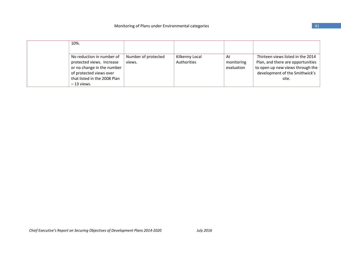| 10%.                                                                                                                                                      |                     |                               |                                |                                                                                                                                                       |
|-----------------------------------------------------------------------------------------------------------------------------------------------------------|---------------------|-------------------------------|--------------------------------|-------------------------------------------------------------------------------------------------------------------------------------------------------|
| No reduction in number of<br>protected views. Increase<br>views.<br>or no change in the number<br>of protected views over<br>that listed in the 2008 Plan | Number of protected | Kilkenny Local<br>Authorities | At<br>monitoring<br>evaluation | Thirteen views listed in the 2014<br>Plan, and there are opportunities<br>to open up new views through the<br>development of the Smithwick's<br>site. |
| $-13$ views.                                                                                                                                              |                     |                               |                                |                                                                                                                                                       |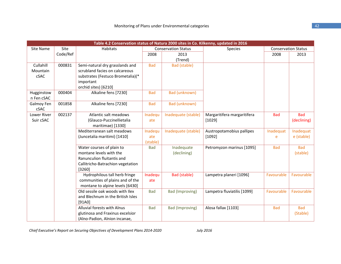| Table 4.2 Conservation status of Natura 2000 sites in Co. Kilkenny, updated in 2016 |          |                                   |            |                            |                             |            |                            |
|-------------------------------------------------------------------------------------|----------|-----------------------------------|------------|----------------------------|-----------------------------|------------|----------------------------|
| Site Name                                                                           | Site     | Habitats                          |            | <b>Conservation Status</b> | <b>Species</b>              |            | <b>Conservation Status</b> |
|                                                                                     | Code/Ref |                                   | 2008       | 2013                       |                             | 2008       | 2013                       |
|                                                                                     |          |                                   |            | (Trend)                    |                             |            |                            |
| Cullahill                                                                           | 000831   | Semi-natural dry grasslands and   | <b>Bad</b> | Bad (stable)               |                             |            |                            |
| Mountain                                                                            |          | scrubland facies on calcareous    |            |                            |                             |            |                            |
| cSAC                                                                                |          | substrates (Festuco Brometalia)(* |            |                            |                             |            |                            |
|                                                                                     |          | important                         |            |                            |                             |            |                            |
|                                                                                     |          | orchid sites) [6210]              |            |                            |                             |            |                            |
| Hugginstow                                                                          | 000404   | Alkaline fens [7230]              | <b>Bad</b> | Bad (unknown)              |                             |            |                            |
| n Fen cSAC                                                                          |          |                                   |            |                            |                             |            |                            |
| Galmoy Fen                                                                          | 001858   | Alkaline fens [7230]              | <b>Bad</b> | Bad (unknown)              |                             |            |                            |
| cSAC                                                                                |          |                                   |            |                            |                             |            |                            |
| Lower River                                                                         | 002137   | Atlantic salt meadows             | Inadequ    | Inadequate (stable)        | Margaritifera margaritifera | <b>Bad</b> | <b>Bad</b>                 |
| Suir cSAC                                                                           |          | (Glauco-Puccinellietalia          | ate        |                            | [1029]                      |            | (declining)                |
|                                                                                     |          | maritimae) [1330]                 |            |                            |                             |            |                            |
|                                                                                     |          | Mediterranean salt meadows        | Inadequ    | Inadequate (stable)        | Austropotamobius pallipes   | Inadequat  | Inadequat                  |
|                                                                                     |          | (Juncetalia maritimi) [1410]      | ate        |                            | [1092]                      | e          | e (stable)                 |
|                                                                                     |          |                                   | (stable)   |                            |                             |            |                            |
|                                                                                     |          | Water courses of plain to         | <b>Bad</b> | Inadequate                 | Petromyzon marinus [1095]   | <b>Bad</b> | <b>Bad</b>                 |
|                                                                                     |          | montane levels with the           |            | (declining)                |                             |            | (stable)                   |
|                                                                                     |          | Ranunculion fluitantis and        |            |                            |                             |            |                            |
|                                                                                     |          | Callitricho-Batrachion vegetation |            |                            |                             |            |                            |
|                                                                                     |          | [3260]                            |            |                            |                             |            |                            |
|                                                                                     |          | Hydrophilous tall herb fringe     | Inadequ    | <b>Bad (stable)</b>        | Lampetra planeri [1096]     | Favourable | Favourable                 |
|                                                                                     |          | communities of plains and of the  | ate        |                            |                             |            |                            |
|                                                                                     |          | montane to alpine levels [6430]   |            |                            |                             |            |                            |
|                                                                                     |          | Old sessile oak woods with Ilex   | <b>Bad</b> | <b>Bad (Improving)</b>     | Lampetra fluviatilis [1099] | Favourable | Favourable                 |
|                                                                                     |          | and Blechnum in the British Isles |            |                            |                             |            |                            |
|                                                                                     |          | [91A0]                            |            |                            |                             |            |                            |
|                                                                                     |          | Alluvial forests with Alnus       | <b>Bad</b> | <b>Bad (Improving)</b>     | Alosa fallax [1103]         | <b>Bad</b> | <b>Bad</b>                 |
|                                                                                     |          | glutinosa and Fraxinus excelsior  |            |                            |                             |            | (Stable)                   |
|                                                                                     |          | (Alno-Padion, Alnion incanae,     |            |                            |                             |            |                            |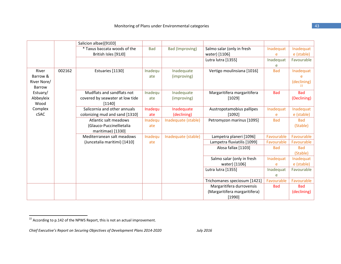|               |        | Salicion albae)[91E0]           |            |                        |                               |            |             |
|---------------|--------|---------------------------------|------------|------------------------|-------------------------------|------------|-------------|
|               |        | * Taxus baccata woods of the    | <b>Bad</b> | <b>Bad (Improving)</b> | Salmo salar (only in fresh    | Inadequat  | Inadequat   |
|               |        | British Isles [91J0]            |            |                        | water) [1106]                 | e          | e (stable)  |
|               |        |                                 |            |                        | Lutra lutra [1355]            | Inadequat  | Favourable  |
|               |        |                                 |            |                        |                               | e          |             |
| River         | 002162 | Estuaries [1130]                | Inadequ    | Inadequate             | Vertigo moulinsiana [1016]    | <b>Bad</b> | Inadequat   |
| Barrow &      |        |                                 | ate        | (improving)            |                               |            | e           |
| River Nore/   |        |                                 |            |                        |                               |            | (declining) |
| <b>Barrow</b> |        |                                 |            |                        |                               |            | 22          |
| Estuary/      |        | Mudflats and sandflats not      | Inadequ    | Inadequate             | Margaritifera margaritifera   | <b>Bad</b> | <b>Bad</b>  |
| Abbeyleix     |        | covered by seawater at low tide | ate        | (improving)            | [1029]                        |            | (Declining) |
| Wood          |        | [1140]                          |            |                        |                               |            |             |
| Complex       |        | Salicornia and other annuals    | Inadequ    | Inadequate             | Austropotamobius pallipes     | Inadequat  | Inadequat   |
| cSAC          |        | colonizing mud and sand [1310]  | ate        | (declining)            | [1092]                        |            | e (stable)  |
|               |        | Atlantic salt meadows           | Inadequ    | Inadequate (stable)    | Petromyzon marinus [1095]     | <b>Bad</b> | <b>Bad</b>  |
|               |        | (Glauco-Puccinellietalia        | ate        |                        |                               |            | (Stable)    |
|               |        | maritimae) [1330]               |            |                        |                               |            |             |
|               |        | Mediterranean salt meadows      | Inadequ    | Inadequate (stable)    | Lampetra planeri [1096]       | Favourable | Favourable  |
|               |        | (Juncetalia maritimi) [1410]    | ate        |                        | Lampetra fluviatilis [1099]   | Favourable | Favourable  |
|               |        |                                 |            |                        | Alosa fallax [1103]           | <b>Bad</b> | <b>Bad</b>  |
|               |        |                                 |            |                        |                               |            | (Stable)    |
|               |        |                                 |            |                        | Salmo salar (only in fresh    | Inadequat  | Inadequat   |
|               |        |                                 |            |                        | water) [1106]                 | e          | e (stable)  |
|               |        |                                 |            |                        | Lutra lutra [1355]            | Inadequat  | Favourable  |
|               |        |                                 |            |                        |                               | e          |             |
|               |        |                                 |            |                        | Trichomanes speciosum [1421]  | Favourable | Favourable  |
|               |        |                                 |            |                        | Margaritifera durrovensis     | <b>Bad</b> | <b>Bad</b>  |
|               |        |                                 |            |                        | (Margaritifera margaritifera) |            | (declining) |
|               |        |                                 |            |                        | [1990]                        |            |             |

 $^{22}$  According to p.142 of the NPWS Report, this is not an actual improvement.

*Chief Executive's Report on Securing Objectives of Development Plans 2014‐2020 July 2016*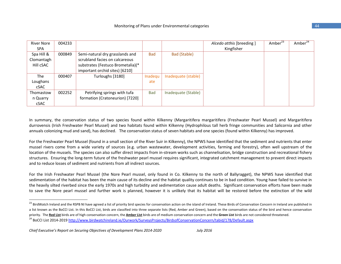| <b>River Nore</b> | 004233 |                                   |            |                     | Alcedo atthis [breeding] | Amber <sup>23</sup> | Amber <sup>24</sup> |
|-------------------|--------|-----------------------------------|------------|---------------------|--------------------------|---------------------|---------------------|
| <b>SPA</b>        |        |                                   |            |                     | Kingfisher               |                     |                     |
| Spa Hill &        | 000849 | Semi-natural dry grasslands and   | <b>Bad</b> | Bad (Stable)        |                          |                     |                     |
| Clomantagh        |        | scrubland facies on calcareous    |            |                     |                          |                     |                     |
| Hill cSAC         |        | substrates (Festuco Brometalia)(* |            |                     |                          |                     |                     |
|                   |        | important orchid sites) [6210]    |            |                     |                          |                     |                     |
| The               | 000407 | Turloughs [3180]                  | Inadequ    | Inadequate (stable) |                          |                     |                     |
| Loughans          |        |                                   | ate        |                     |                          |                     |                     |
| cSAC              |        |                                   |            |                     |                          |                     |                     |
| Thomastow         | 002252 | Petrifying springs with tufa      | <b>Bad</b> | Inadequate (Stable) |                          |                     |                     |
| n Quarry          |        | formation (Cratoneurion) [7220]   |            |                     |                          |                     |                     |
| cSAC              |        |                                   |            |                     |                          |                     |                     |

In summary, the conservation status of two species found within Kilkenny (Margaritifera margaritifera (Freshwater Pearl Mussel) and Margaritifera durrovensis (Irish Freshwater Pearl Mussel) and two habitats found within Kilkenny (Hydrophilous tall herb fringe communities and Salicornia and other annuals colonizing mud and sand), has declined. The conservation status of seven habitats and one species (found within Kilkenny) has improved.

For the Freshwater Pearl Mussel (found in <sup>a</sup> small section of the River Suir in Kilkenny), the NPWS have identified that the sediment and nutrients that enter mussel rivers come from <sup>a</sup> wide variety of sources (e.g. urban wastewater, development activities, farming and forestry), often well upstream of the location of the mussels. The species can also suffer direct impacts from in‐stream works such as channelisation, bridge construction and recreational fishery structures. Ensuring the long‐term future of the freshwater pearl mussel requires significant, integrated catchment management to prevent direct impacts and to reduce losses of sediment and nutrients from all indirect sources.

For the Irish Freshwater Pearl Mussel (the Nore Pearl mussel, only found in Co. Kilkenny to the north of Ballyragget), the NPWS have identified that sedimentation of the habitat has been the main cause of its decline and the habitat quality continues to be in bad condition. Young have failed to survive in the heavily silted riverbed since the early 1970s and high turbidity and sedimentation cause adult deaths. Significant conservation efforts have been made to save the Nore pearl mussel and further work is planned, however it is unlikely that its habitat will be restored before the extinction of the wild

<sup>24</sup> BoCCI List 2014-2019 <u>http://www.birdwatchireland.ie/Ourwork/SurveysProjects/BirdsofConservationConcern/tabid/178/Default.aspx</u>

 $^{23}$  BirdWatch Ireland and the RSPB NI have agreed a list of priority bird species for conservation action on the island of Ireland. These Birds of Conservation Concern in Ireland are published in a list known as the BoCCI List. In this BoCCI List, birds are classified into three separate lists (Red, Amber and Green), based on the conservation status of the bird and hence conservation priority. The **Red List** birds are of high conservation concern, the **Amber List** birds are of medium conservation concern and the **Green List** birds are not considered threatened.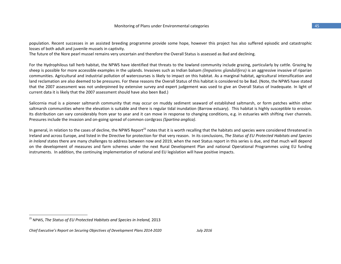population. Recent successes in an assisted breeding programme provide some hope, however this project has also suffered episodic and catastrophic losses of both adult and juvenile mussels in captivity.

The future of the Nore pearl mussel remains very uncertain and therefore the Overall Status is assessed as Bad and declining.

For the Hydrophilous tall herb habitat, the NPWS have identified that threats to the lowland community include grazing, particularly by cattle. Grazing by sheep is possible for more accessible examples in the uplands. Invasives such as Indian balsam *(Impatiens glandulifera)* is an aggressive invasive of riparian communities. Agricultural and industrial pollution of watercourses is likely to impact on this habitat. As <sup>a</sup> marginal habitat, agricultural intensification and land reclamation are also deemed to be pressures. For these reasons the Overall Status of this habitat is considered to be Bad. (Note, the NPWS have stated that the 2007 assessment was not underpinned by extensive survey and expert judgement was used to give an Overall Status of Inadequate. In light of current data it is likely that the 2007 assessment should have also been Bad.)

Salicornia mud is <sup>a</sup> pioneer saltmarsh community that may occur on muddy sediment seaward of established saltmarsh, or form patches within other saltmarsh communities where the elevation is suitable and there is regular tidal inundation (Barrow estuary). This habitat is highly susceptible to erosion. Its distribution can vary considerably from year to year and it can move in response to changing conditions, e.g. in estuaries with shifting river channels. Pressures include the invasion and on‐going spread of common cordgrass *(Spartina anglica)*.

In general, in relation to the cases of decline, the NPWS Report<sup>25</sup> notes that it is worth recalling that the habitats and species were considered threatened in Ireland and across Europe, and listed in the Directive for protection for that very reason. In its conclusions, *The Status of EU Protected Habitats and Species in Ireland* states there are many challenges to address between now and 2019, when the next Status report in this series is due, and that much will depend on the development of measures and farm schemes under the next Rural Development Plan and national Operational Programmes using EU funding instruments. In addition, the continuing implementation of national and EU legislation will have positive impacts.

<sup>25</sup> NPWS, *The Status of EU Protected Habitats and Species in Ireland,* 2013